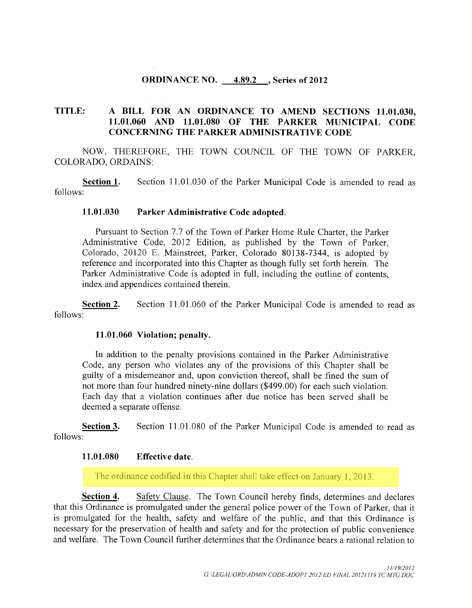### ORDINANCE NO. 4.89.2 , Series of 2012

### TITLE: A BILL FOR AN ORDINANCE TO AMEND SECTIONS 11.01.030, 11. 01. 060 AND 11. 01. 080 OF THE PARKER MUNICIPAL CODE CONCERNING THE PARKER ADMINISTRATIVE CODE

NOW, THEREFORE, THE TOWN COUNCIL OF THE TOWN OF PARKER, COLORADO, ORDAINS:

Section 1. Section 11.01.030 of the Parker Municipal Code is amended to read as follows:

#### 11. 01. 030 Parker Administrative Code adopted.

Pursuant to Section 7.7 of the Town of Parker Home Rule Charter, the Parker Administrative Code, 2012 Edition, as published by the Town of Parker, Colorado, 20120 E. Mainstreet, Parker, Colorado 80138-7344, is adopted by reference and incorporated into this Chapter as though fully set forth herein. The Parker Administrative Code is adopted in full, including the outline of contents, index and appendices contained therein.

Section 2. Section 11.01.060 of the Parker Municipal Code is amended to read as follows:

#### 11. 01. 060 Violation; penalty.

In addition to the penalty provisions contained in the Parker Administrative Code, any person who violates any of the provisions of this Chapter shall be guilty of <sup>a</sup> misdemeanor and, upon conviction thereof, shall be fined the sum of not more than four hundred ninety-nine dollars (\$499.00) for each such violation. Each day that a violation continues after due notice has been served shall be deemed a separate offense.

Section 3. Section 11.01.080 of the Parker Municipal Code is amended to read as follows:

### 11. 01. 080 Effective date.

The ordinance codified in this Chapter shall take effect on January 1, 2013.

Section 4. Safety Clause. The Town Council hereby finds, determines and declares that this Ordinance is promulgated under the general police power of the Town of Parker, that it is promulgated for the health, safety and welfare of the public, and that this Ordinance is necessary for the preservation of health and safety and for the protection of public convenience and welfare. The Town Council further determines that the Ordinance bears a rational relation to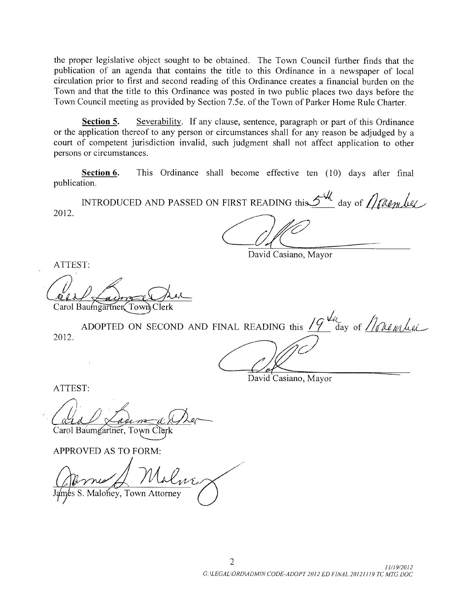the proper legislative object sought to be obtained. The Town Council further finds that the publication of an agenda that contains the title to this Ordinance in a newspaper of local circulation prior to first and second reading of this Ordinance creates <sup>a</sup> financial burden on the Town and that the title to this Ordinance was posted in two public places two days before the Town Council meeting as provided by Section 7.5e. of the Town of Parker Home Rule Charter.

Section 5. Severability. If any clause, sentence, paragraph or part of this Ordinance or the application thereof to any person or circumstances shall for any reason be adjudged by a court of competent jurisdiction invalid, such judgment shall not affect application to other persons or circumstances.

Section 6. This Ordinance shall become effective ten (10) days after final publication.

INTRODUCED AND PASSED ON FIRST READING this  $\mathcal{L}^{\mathbf{w}_{\ell}}$  day of 2012.

David Casiano, Mayor

ATTEST:

Carol Baumgartner Town Clerk

adingarinen rowing cicin<br>ADOPTED ON SECOND AND FINAL READING this  $19$  day of  $M$  and explicit 2012.

David Casiano, Mayor

ATTEST:

Carol Baumgartner, Town Clerk

APPROVED AS TO FORM:

James S. Maloney, Town Attorney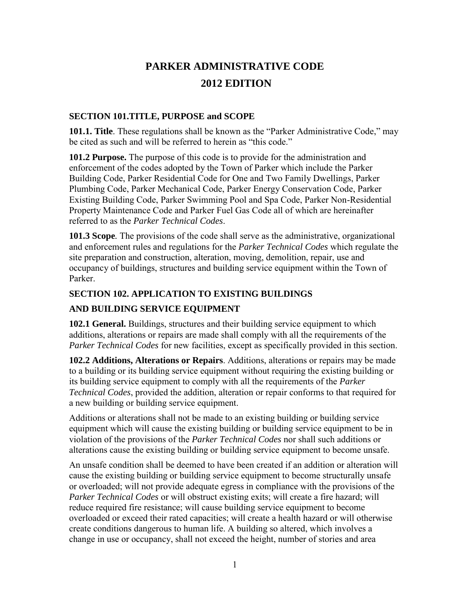# **PARKER ADMINISTRATIVE CODE 2012 EDITION**

## **SECTION 101.TITLE, PURPOSE and SCOPE**

**101.1. Title**. These regulations shall be known as the "Parker Administrative Code," may be cited as such and will be referred to herein as "this code."

**101.2 Purpose.** The purpose of this code is to provide for the administration and enforcement of the codes adopted by the Town of Parker which include the Parker Building Code, Parker Residential Code for One and Two Family Dwellings, Parker Plumbing Code, Parker Mechanical Code, Parker Energy Conservation Code, Parker Existing Building Code, Parker Swimming Pool and Spa Code, Parker Non-Residential Property Maintenance Code and Parker Fuel Gas Code all of which are hereinafter referred to as the *Parker Technical Codes*.

**101.3 Scope***.* The provisions of the code shall serve as the administrative, organizational and enforcement rules and regulations for the *Parker Technical Codes* which regulate the site preparation and construction, alteration, moving, demolition, repair, use and occupancy of buildings, structures and building service equipment within the Town of Parker.

# **SECTION 102. APPLICATION TO EXISTING BUILDINGS**

# **AND BUILDING SERVICE EQUIPMENT**

**102.1 General.** Buildings, structures and their building service equipment to which additions, alterations or repairs are made shall comply with all the requirements of the *Parker Technical Codes* for new facilities, except as specifically provided in this section.

**102.2 Additions, Alterations or Repairs**. Additions, alterations or repairs may be made to a building or its building service equipment without requiring the existing building or its building service equipment to comply with all the requirements of the *Parker Technical Codes*, provided the addition, alteration or repair conforms to that required for a new building or building service equipment.

Additions or alterations shall not be made to an existing building or building service equipment which will cause the existing building or building service equipment to be in violation of the provisions of the *Parker Technical Codes* nor shall such additions or alterations cause the existing building or building service equipment to become unsafe.

An unsafe condition shall be deemed to have been created if an addition or alteration will cause the existing building or building service equipment to become structurally unsafe or overloaded; will not provide adequate egress in compliance with the provisions of the *Parker Technical Codes* or will obstruct existing exits; will create a fire hazard; will reduce required fire resistance; will cause building service equipment to become overloaded or exceed their rated capacities; will create a health hazard or will otherwise create conditions dangerous to human life. A building so altered, which involves a change in use or occupancy, shall not exceed the height, number of stories and area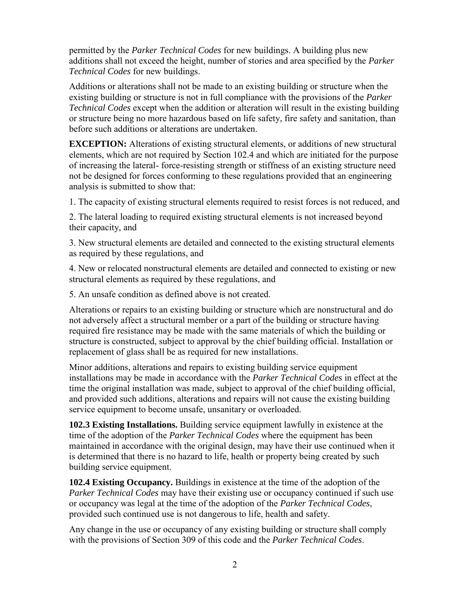permitted by the *Parker Technical Codes* for new buildings. A building plus new additions shall not exceed the height, number of stories and area specified by the *Parker Technical Codes* for new buildings.

Additions or alterations shall not be made to an existing building or structure when the existing building or structure is not in full compliance with the provisions of the *Parker Technical Codes* except when the addition or alteration will result in the existing building or structure being no more hazardous based on life safety, fire safety and sanitation, than before such additions or alterations are undertaken.

**EXCEPTION:** Alterations of existing structural elements, or additions of new structural elements, which are not required by Section 102.4 and which are initiated for the purpose of increasing the lateral- force-resisting strength or stiffness of an existing structure need not be designed for forces conforming to these regulations provided that an engineering analysis is submitted to show that:

1. The capacity of existing structural elements required to resist forces is not reduced, and

2. The lateral loading to required existing structural elements is not increased beyond their capacity, and

3. New structural elements are detailed and connected to the existing structural elements as required by these regulations, and

4. New or relocated nonstructural elements are detailed and connected to existing or new structural elements as required by these regulations, and

5. An unsafe condition as defined above is not created.

Alterations or repairs to an existing building or structure which are nonstructural and do not adversely affect a structural member or a part of the building or structure having required fire resistance may be made with the same materials of which the building or structure is constructed, subject to approval by the chief building official. Installation or replacement of glass shall be as required for new installations.

Minor additions, alterations and repairs to existing building service equipment installations may be made in accordance with the *Parker Technical Codes* in effect at the time the original installation was made, subject to approval of the chief building official, and provided such additions, alterations and repairs will not cause the existing building service equipment to become unsafe, unsanitary or overloaded.

**102.3 Existing Installations.** Building service equipment lawfully in existence at the time of the adoption of the *Parker Technical Codes* where the equipment has been maintained in accordance with the original design, may have their use continued when it is determined that there is no hazard to life, health or property being created by such building service equipment.

**102.4 Existing Occupancy.** Buildings in existence at the time of the adoption of the *Parker Technical Codes* may have their existing use or occupancy continued if such use or occupancy was legal at the time of the adoption of the *Parker Technical Codes*, provided such continued use is not dangerous to life, health and safety.

Any change in the use or occupancy of any existing building or structure shall comply with the provisions of Section 309 of this code and the *Parker Technical Codes*.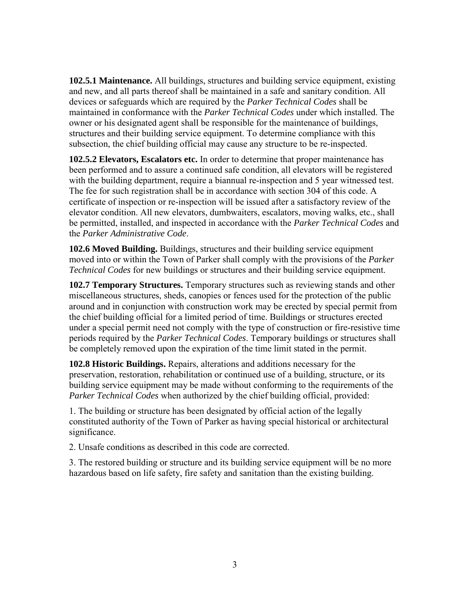**102.5.1 Maintenance.** All buildings, structures and building service equipment, existing and new, and all parts thereof shall be maintained in a safe and sanitary condition. All devices or safeguards which are required by the *Parker Technical Codes* shall be maintained in conformance with the *Parker Technical Codes* under which installed. The owner or his designated agent shall be responsible for the maintenance of buildings, structures and their building service equipment. To determine compliance with this subsection, the chief building official may cause any structure to be re-inspected.

**102.5.2 Elevators, Escalators etc.** In order to determine that proper maintenance has been performed and to assure a continued safe condition, all elevators will be registered with the building department, require a biannual re-inspection and 5 year witnessed test. The fee for such registration shall be in accordance with section 304 of this code. A certificate of inspection or re-inspection will be issued after a satisfactory review of the elevator condition. All new elevators, dumbwaiters, escalators, moving walks, etc., shall be permitted, installed, and inspected in accordance with the *Parker Technical Codes* and the *Parker Administrative Code*.

**102.6 Moved Building.** Buildings, structures and their building service equipment moved into or within the Town of Parker shall comply with the provisions of the *Parker Technical Codes* for new buildings or structures and their building service equipment.

**102.7 Temporary Structures.** Temporary structures such as reviewing stands and other miscellaneous structures, sheds, canopies or fences used for the protection of the public around and in conjunction with construction work may be erected by special permit from the chief building official for a limited period of time. Buildings or structures erected under a special permit need not comply with the type of construction or fire-resistive time periods required by the *Parker Technical Codes*. Temporary buildings or structures shall be completely removed upon the expiration of the time limit stated in the permit.

**102.8 Historic Buildings.** Repairs, alterations and additions necessary for the preservation, restoration, rehabilitation or continued use of a building, structure, or its building service equipment may be made without conforming to the requirements of the *Parker Technical Codes* when authorized by the chief building official, provided:

1. The building or structure has been designated by official action of the legally constituted authority of the Town of Parker as having special historical or architectural significance.

2. Unsafe conditions as described in this code are corrected.

3. The restored building or structure and its building service equipment will be no more hazardous based on life safety, fire safety and sanitation than the existing building.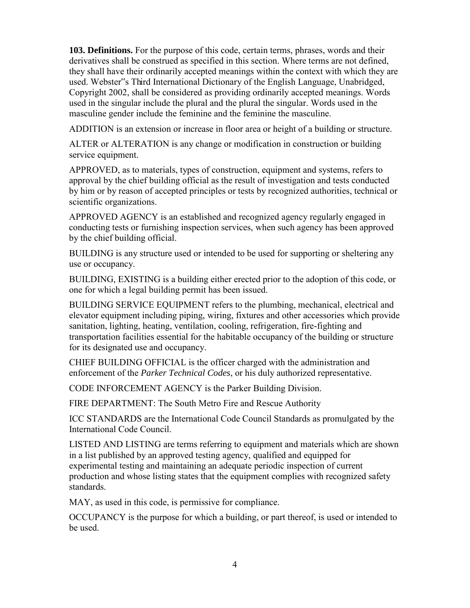**103. Definitions.** For the purpose of this code, certain terms, phrases, words and their derivatives shall be construed as specified in this section. Where terms are not defined, they shall have their ordinarily accepted meanings within the context with which they are used. Webster"s Third International Dictionary of the English Language, Unabridged, Copyright 2002, shall be considered as providing ordinarily accepted meanings. Words used in the singular include the plural and the plural the singular. Words used in the masculine gender include the feminine and the feminine the masculine.

ADDITION is an extension or increase in floor area or height of a building or structure.

ALTER or ALTERATION is any change or modification in construction or building service equipment.

APPROVED, as to materials, types of construction, equipment and systems, refers to approval by the chief building official as the result of investigation and tests conducted by him or by reason of accepted principles or tests by recognized authorities, technical or scientific organizations.

APPROVED AGENCY is an established and recognized agency regularly engaged in conducting tests or furnishing inspection services, when such agency has been approved by the chief building official.

BUILDING is any structure used or intended to be used for supporting or sheltering any use or occupancy.

BUILDING, EXISTING is a building either erected prior to the adoption of this code, or one for which a legal building permit has been issued.

BUILDING SERVICE EQUIPMENT refers to the plumbing, mechanical, electrical and elevator equipment including piping, wiring, fixtures and other accessories which provide sanitation, lighting, heating, ventilation, cooling, refrigeration, fire-fighting and transportation facilities essential for the habitable occupancy of the building or structure for its designated use and occupancy.

CHIEF BUILDING OFFICIAL is the officer charged with the administration and enforcement of the *Parker Technical Codes*, or his duly authorized representative.

CODE INFORCEMENT AGENCY is the Parker Building Division.

FIRE DEPARTMENT: The South Metro Fire and Rescue Authority

ICC STANDARDS are the International Code Council Standards as promulgated by the International Code Council.

LISTED AND LISTING are terms referring to equipment and materials which are shown in a list published by an approved testing agency, qualified and equipped for experimental testing and maintaining an adequate periodic inspection of current production and whose listing states that the equipment complies with recognized safety standards.

MAY, as used in this code, is permissive for compliance.

OCCUPANCY is the purpose for which a building, or part thereof, is used or intended to be used.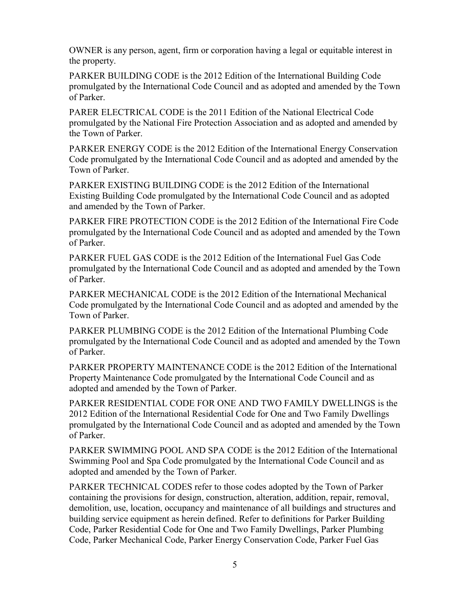OWNER is any person, agent, firm or corporation having a legal or equitable interest in the property.

PARKER BUILDING CODE is the 2012 Edition of the International Building Code promulgated by the International Code Council and as adopted and amended by the Town of Parker.

PARER ELECTRICAL CODE is the 2011 Edition of the National Electrical Code promulgated by the National Fire Protection Association and as adopted and amended by the Town of Parker.

PARKER ENERGY CODE is the 2012 Edition of the International Energy Conservation Code promulgated by the International Code Council and as adopted and amended by the Town of Parker.

PARKER EXISTING BUILDING CODE is the 2012 Edition of the International Existing Building Code promulgated by the International Code Council and as adopted and amended by the Town of Parker.

PARKER FIRE PROTECTION CODE is the 2012 Edition of the International Fire Code promulgated by the International Code Council and as adopted and amended by the Town of Parker.

PARKER FUEL GAS CODE is the 2012 Edition of the International Fuel Gas Code promulgated by the International Code Council and as adopted and amended by the Town of Parker.

PARKER MECHANICAL CODE is the 2012 Edition of the International Mechanical Code promulgated by the International Code Council and as adopted and amended by the Town of Parker.

PARKER PLUMBING CODE is the 2012 Edition of the International Plumbing Code promulgated by the International Code Council and as adopted and amended by the Town of Parker.

PARKER PROPERTY MAINTENANCE CODE is the 2012 Edition of the International Property Maintenance Code promulgated by the International Code Council and as adopted and amended by the Town of Parker.

PARKER RESIDENTIAL CODE FOR ONE AND TWO FAMILY DWELLINGS is the 2012 Edition of the International Residential Code for One and Two Family Dwellings promulgated by the International Code Council and as adopted and amended by the Town of Parker.

PARKER SWIMMING POOL AND SPA CODE is the 2012 Edition of the International Swimming Pool and Spa Code promulgated by the International Code Council and as adopted and amended by the Town of Parker.

PARKER TECHNICAL CODES refer to those codes adopted by the Town of Parker containing the provisions for design, construction, alteration, addition, repair, removal, demolition, use, location, occupancy and maintenance of all buildings and structures and building service equipment as herein defined. Refer to definitions for Parker Building Code, Parker Residential Code for One and Two Family Dwellings, Parker Plumbing Code, Parker Mechanical Code, Parker Energy Conservation Code, Parker Fuel Gas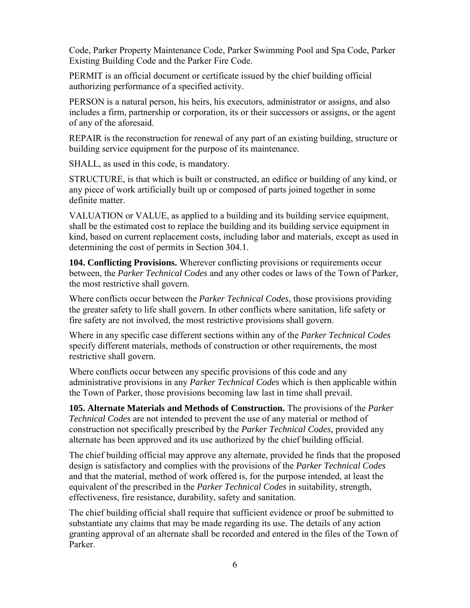Code, Parker Property Maintenance Code, Parker Swimming Pool and Spa Code, Parker Existing Building Code and the Parker Fire Code.

PERMIT is an official document or certificate issued by the chief building official authorizing performance of a specified activity.

PERSON is a natural person, his heirs, his executors, administrator or assigns, and also includes a firm, partnership or corporation, its or their successors or assigns, or the agent of any of the aforesaid.

REPAIR is the reconstruction for renewal of any part of an existing building, structure or building service equipment for the purpose of its maintenance.

SHALL, as used in this code, is mandatory.

STRUCTURE, is that which is built or constructed, an edifice or building of any kind, or any piece of work artificially built up or composed of parts joined together in some definite matter.

VALUATION or VALUE, as applied to a building and its building service equipment, shall be the estimated cost to replace the building and its building service equipment in kind, based on current replacement costs, including labor and materials, except as used in determining the cost of permits in Section 304.1.

**104. Conflicting Provisions.** Wherever conflicting provisions or requirements occur between, the *Parker Technical Codes* and any other codes or laws of the Town of Parker, the most restrictive shall govern.

Where conflicts occur between the *Parker Technical Codes*, those provisions providing the greater safety to life shall govern. In other conflicts where sanitation, life safety or fire safety are not involved, the most restrictive provisions shall govern.

Where in any specific case different sections within any of the *Parker Technical Codes* specify different materials, methods of construction or other requirements, the most restrictive shall govern.

Where conflicts occur between any specific provisions of this code and any administrative provisions in any *Parker Technical Codes* which is then applicable within the Town of Parker, those provisions becoming law last in time shall prevail.

**105. Alternate Materials and Methods of Construction.** The provisions of the *Parker Technical Codes* are not intended to prevent the use of any material or method of construction not specifically prescribed by the *Parker Technical Codes*, provided any alternate has been approved and its use authorized by the chief building official.

The chief building official may approve any alternate, provided he finds that the proposed design is satisfactory and complies with the provisions of the *Parker Technical Codes* and that the material, method of work offered is, for the purpose intended, at least the equivalent of the prescribed in the *Parker Technical Codes* in suitability, strength, effectiveness, fire resistance, durability, safety and sanitation.

The chief building official shall require that sufficient evidence or proof be submitted to substantiate any claims that may be made regarding its use. The details of any action granting approval of an alternate shall be recorded and entered in the files of the Town of Parker.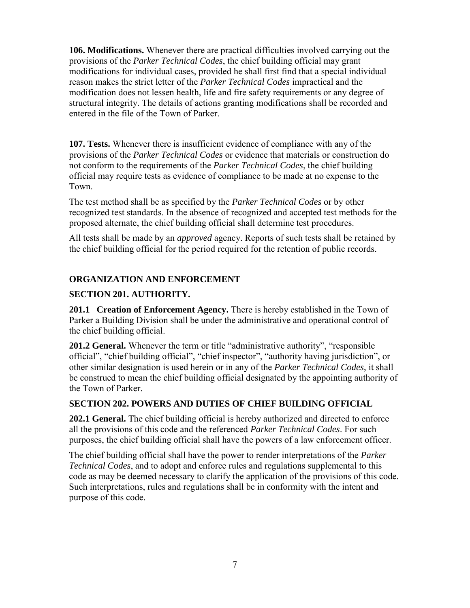**106. Modifications.** Whenever there are practical difficulties involved carrying out the provisions of the *Parker Technical Codes*, the chief building official may grant modifications for individual cases, provided he shall first find that a special individual reason makes the strict letter of the *Parker Technical Codes* impractical and the modification does not lessen health, life and fire safety requirements or any degree of structural integrity. The details of actions granting modifications shall be recorded and entered in the file of the Town of Parker.

**107. Tests.** Whenever there is insufficient evidence of compliance with any of the provisions of the *Parker Technical Codes* or evidence that materials or construction do not conform to the requirements of the *Parker Technical Codes*, the chief building official may require tests as evidence of compliance to be made at no expense to the Town.

The test method shall be as specified by the *Parker Technical Codes* or by other recognized test standards. In the absence of recognized and accepted test methods for the proposed alternate, the chief building official shall determine test procedures.

All tests shall be made by an *approved* agency. Reports of such tests shall be retained by the chief building official for the period required for the retention of public records.

# **ORGANIZATION AND ENFORCEMENT**

# **SECTION 201. AUTHORITY.**

**201.1 Creation of Enforcement Agency.** There is hereby established in the Town of Parker a Building Division shall be under the administrative and operational control of the chief building official.

**201.2 General.** Whenever the term or title "administrative authority", "responsible official", "chief building official", "chief inspector", "authority having jurisdiction", or other similar designation is used herein or in any of the *Parker Technical Codes*, it shall be construed to mean the chief building official designated by the appointing authority of the Town of Parker.

# **SECTION 202. POWERS AND DUTIES OF CHIEF BUILDING OFFICIAL**

**202.1 General.** The chief building official is hereby authorized and directed to enforce all the provisions of this code and the referenced *Parker Technical Codes*. For such purposes, the chief building official shall have the powers of a law enforcement officer.

The chief building official shall have the power to render interpretations of the *Parker Technical Codes*, and to adopt and enforce rules and regulations supplemental to this code as may be deemed necessary to clarify the application of the provisions of this code. Such interpretations, rules and regulations shall be in conformity with the intent and purpose of this code.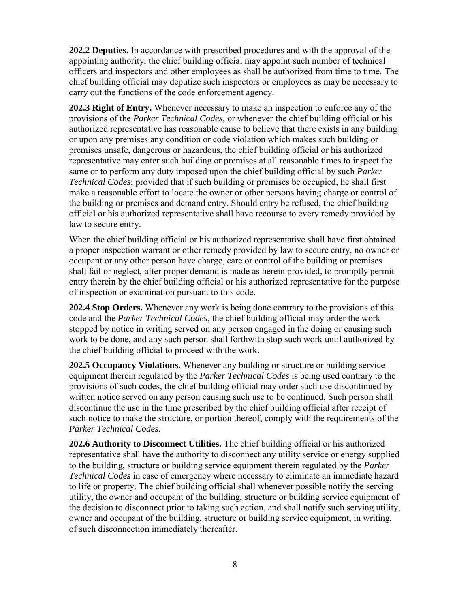**202.2 Deputies.** In accordance with prescribed procedures and with the approval of the appointing authority, the chief building official may appoint such number of technical officers and inspectors and other employees as shall be authorized from time to time. The chief building official may deputize such inspectors or employees as may be necessary to carry out the functions of the code enforcement agency.

**202.3 Right of Entry.** Whenever necessary to make an inspection to enforce any of the provisions of the *Parker Technical Codes*, or whenever the chief building official or his authorized representative has reasonable cause to believe that there exists in any building or upon any premises any condition or code violation which makes such building or premises unsafe, dangerous or hazardous, the chief building official or his authorized representative may enter such building or premises at all reasonable times to inspect the same or to perform any duty imposed upon the chief building official by such *Parker Technical Codes*; provided that if such building or premises be occupied, he shall first make a reasonable effort to locate the owner or other persons having charge or control of the building or premises and demand entry. Should entry be refused, the chief building official or his authorized representative shall have recourse to every remedy provided by law to secure entry.

When the chief building official or his authorized representative shall have first obtained a proper inspection warrant or other remedy provided by law to secure entry, no owner or occupant or any other person have charge, care or control of the building or premises shall fail or neglect, after proper demand is made as herein provided, to promptly permit entry therein by the chief building official or his authorized representative for the purpose of inspection or examination pursuant to this code.

**202.4 Stop Orders.** Whenever any work is being done contrary to the provisions of this code and the *Parker Technical Codes*, the chief building official may order the work stopped by notice in writing served on any person engaged in the doing or causing such work to be done, and any such person shall forthwith stop such work until authorized by the chief building official to proceed with the work.

**202.5 Occupancy Violations.** Whenever any building or structure or building service equipment therein regulated by the *Parker Technical Codes* is being used contrary to the provisions of such codes, the chief building official may order such use discontinued by written notice served on any person causing such use to be continued. Such person shall discontinue the use in the time prescribed by the chief building official after receipt of such notice to make the structure, or portion thereof, comply with the requirements of the *Parker Technical Codes*.

**202.6 Authority to Disconnect Utilities.** The chief building official or his authorized representative shall have the authority to disconnect any utility service or energy supplied to the building, structure or building service equipment therein regulated by the *Parker Technical Codes* in case of emergency where necessary to eliminate an immediate hazard to life or property. The chief building official shall whenever possible notify the serving utility, the owner and occupant of the building, structure or building service equipment of the decision to disconnect prior to taking such action, and shall notify such serving utility, owner and occupant of the building, structure or building service equipment, in writing, of such disconnection immediately thereafter.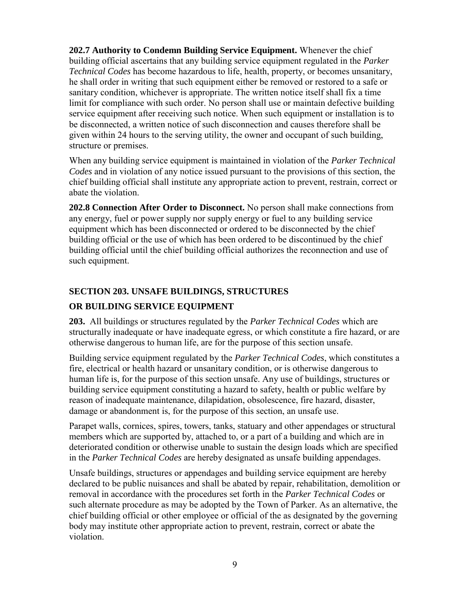**202.7 Authority to Condemn Building Service Equipment.** Whenever the chief building official ascertains that any building service equipment regulated in the *Parker Technical Codes* has become hazardous to life, health, property, or becomes unsanitary, he shall order in writing that such equipment either be removed or restored to a safe or sanitary condition, whichever is appropriate. The written notice itself shall fix a time limit for compliance with such order. No person shall use or maintain defective building service equipment after receiving such notice. When such equipment or installation is to be disconnected, a written notice of such disconnection and causes therefore shall be given within 24 hours to the serving utility, the owner and occupant of such building, structure or premises.

When any building service equipment is maintained in violation of the *Parker Technical Codes* and in violation of any notice issued pursuant to the provisions of this section, the chief building official shall institute any appropriate action to prevent, restrain, correct or abate the violation.

**202.8 Connection After Order to Disconnect.** No person shall make connections from any energy, fuel or power supply nor supply energy or fuel to any building service equipment which has been disconnected or ordered to be disconnected by the chief building official or the use of which has been ordered to be discontinued by the chief building official until the chief building official authorizes the reconnection and use of such equipment.

# **SECTION 203. UNSAFE BUILDINGS, STRUCTURES**

## **OR BUILDING SERVICE EQUIPMENT**

**203.** All buildings or structures regulated by the *Parker Technical Codes* which are structurally inadequate or have inadequate egress, or which constitute a fire hazard, or are otherwise dangerous to human life, are for the purpose of this section unsafe.

Building service equipment regulated by the *Parker Technical Codes*, which constitutes a fire, electrical or health hazard or unsanitary condition, or is otherwise dangerous to human life is, for the purpose of this section unsafe. Any use of buildings, structures or building service equipment constituting a hazard to safety, health or public welfare by reason of inadequate maintenance, dilapidation, obsolescence, fire hazard, disaster, damage or abandonment is, for the purpose of this section, an unsafe use.

Parapet walls, cornices, spires, towers, tanks, statuary and other appendages or structural members which are supported by, attached to, or a part of a building and which are in deteriorated condition or otherwise unable to sustain the design loads which are specified in the *Parker Technical Codes* are hereby designated as unsafe building appendages.

Unsafe buildings, structures or appendages and building service equipment are hereby declared to be public nuisances and shall be abated by repair, rehabilitation, demolition or removal in accordance with the procedures set forth in the *Parker Technical Codes* or such alternate procedure as may be adopted by the Town of Parker. As an alternative, the chief building official or other employee or official of the as designated by the governing body may institute other appropriate action to prevent, restrain, correct or abate the violation.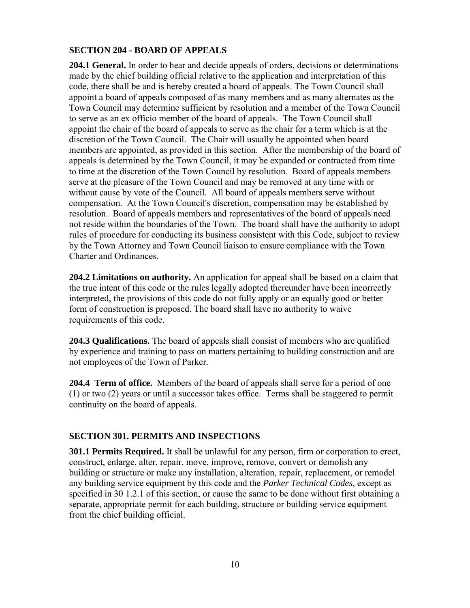# **SECTION 204 - BOARD OF APPEALS**

**204.1 General.** In order to hear and decide appeals of orders, decisions or determinations made by the chief building official relative to the application and interpretation of this code, there shall be and is hereby created a board of appeals. The Town Council shall appoint a board of appeals composed of as many members and as many alternates as the Town Council may determine sufficient by resolution and a member of the Town Council to serve as an ex officio member of the board of appeals. The Town Council shall appoint the chair of the board of appeals to serve as the chair for a term which is at the discretion of the Town Council. The Chair will usually be appointed when board members are appointed, as provided in this section. After the membership of the board of appeals is determined by the Town Council, it may be expanded or contracted from time to time at the discretion of the Town Council by resolution. Board of appeals members serve at the pleasure of the Town Council and may be removed at any time with or without cause by vote of the Council. All board of appeals members serve without compensation. At the Town Council's discretion, compensation may be established by resolution. Board of appeals members and representatives of the board of appeals need not reside within the boundaries of the Town. The board shall have the authority to adopt rules of procedure for conducting its business consistent with this Code, subject to review by the Town Attorney and Town Council liaison to ensure compliance with the Town Charter and Ordinances.

**204.2 Limitations on authority.** An application for appeal shall be based on a claim that the true intent of this code or the rules legally adopted thereunder have been incorrectly interpreted, the provisions of this code do not fully apply or an equally good or better form of construction is proposed. The board shall have no authority to waive requirements of this code.

**204.3 Qualifications.** The board of appeals shall consist of members who are qualified by experience and training to pass on matters pertaining to building construction and are not employees of the Town of Parker.

**204.4 Term of office.** Members of the board of appeals shall serve for a period of one (1) or two (2) years or until a successor takes office. Terms shall be staggered to permit continuity on the board of appeals.

#### **SECTION 301. PERMITS AND INSPECTIONS**

**301.1 Permits Required.** It shall be unlawful for any person, firm or corporation to erect, construct, enlarge, alter, repair, move, improve, remove, convert or demolish any building or structure or make any installation, alteration, repair, replacement, or remodel any building service equipment by this code and the *Parker Technical Codes*, except as specified in 30 1.2.1 of this section, or cause the same to be done without first obtaining a separate, appropriate permit for each building, structure or building service equipment from the chief building official.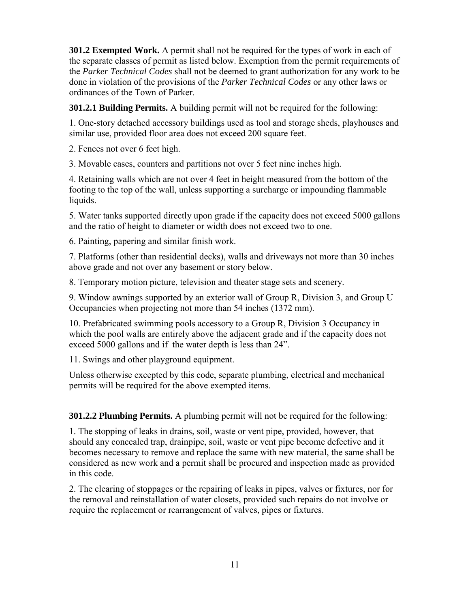**301.2 Exempted Work.** A permit shall not be required for the types of work in each of the separate classes of permit as listed below. Exemption from the permit requirements of the *Parker Technical Codes* shall not be deemed to grant authorization for any work to be done in violation of the provisions of the *Parker Technical Codes* or any other laws or ordinances of the Town of Parker.

**301.2.1 Building Permits.** A building permit will not be required for the following:

1. One-story detached accessory buildings used as tool and storage sheds, playhouses and similar use, provided floor area does not exceed 200 square feet.

2. Fences not over 6 feet high.

3. Movable cases, counters and partitions not over 5 feet nine inches high.

4. Retaining walls which are not over 4 feet in height measured from the bottom of the footing to the top of the wall, unless supporting a surcharge or impounding flammable liquids.

5. Water tanks supported directly upon grade if the capacity does not exceed 5000 gallons and the ratio of height to diameter or width does not exceed two to one.

6. Painting, papering and similar finish work.

7. Platforms (other than residential decks), walls and driveways not more than 30 inches above grade and not over any basement or story below.

8. Temporary motion picture, television and theater stage sets and scenery.

9. Window awnings supported by an exterior wall of Group R, Division 3, and Group U Occupancies when projecting not more than 54 inches (1372 mm).

10. Prefabricated swimming pools accessory to a Group R, Division 3 Occupancy in which the pool walls are entirely above the adjacent grade and if the capacity does not exceed 5000 gallons and if the water depth is less than 24".

11. Swings and other playground equipment.

Unless otherwise excepted by this code, separate plumbing, electrical and mechanical permits will be required for the above exempted items.

**301.2.2 Plumbing Permits.** A plumbing permit will not be required for the following:

1. The stopping of leaks in drains, soil, waste or vent pipe, provided, however, that should any concealed trap, drainpipe, soil, waste or vent pipe become defective and it becomes necessary to remove and replace the same with new material, the same shall be considered as new work and a permit shall be procured and inspection made as provided in this code.

2. The clearing of stoppages or the repairing of leaks in pipes, valves or fixtures, nor for the removal and reinstallation of water closets, provided such repairs do not involve or require the replacement or rearrangement of valves, pipes or fixtures.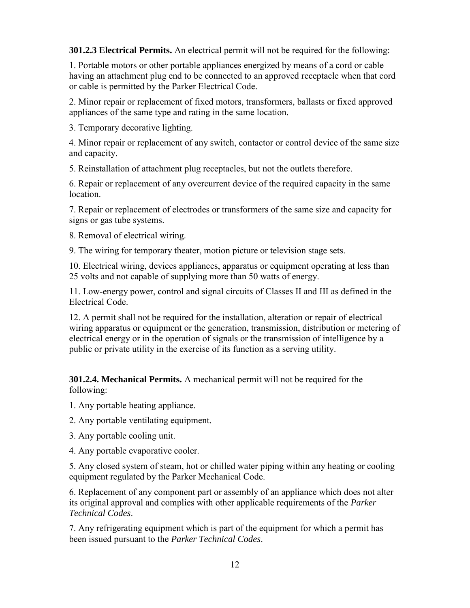**301.2.3 Electrical Permits.** An electrical permit will not be required for the following:

1. Portable motors or other portable appliances energized by means of a cord or cable having an attachment plug end to be connected to an approved receptacle when that cord or cable is permitted by the Parker Electrical Code.

2. Minor repair or replacement of fixed motors, transformers, ballasts or fixed approved appliances of the same type and rating in the same location.

3. Temporary decorative lighting.

4. Minor repair or replacement of any switch, contactor or control device of the same size and capacity.

5. Reinstallation of attachment plug receptacles, but not the outlets therefore.

6. Repair or replacement of any overcurrent device of the required capacity in the same location.

7. Repair or replacement of electrodes or transformers of the same size and capacity for signs or gas tube systems.

8. Removal of electrical wiring.

9. The wiring for temporary theater, motion picture or television stage sets.

10. Electrical wiring, devices appliances, apparatus or equipment operating at less than 25 volts and not capable of supplying more than 50 watts of energy.

11. Low-energy power, control and signal circuits of Classes II and III as defined in the Electrical Code.

12. A permit shall not be required for the installation, alteration or repair of electrical wiring apparatus or equipment or the generation, transmission, distribution or metering of electrical energy or in the operation of signals or the transmission of intelligence by a public or private utility in the exercise of its function as a serving utility.

**301.2.4. Mechanical Permits.** A mechanical permit will not be required for the following:

1. Any portable heating appliance.

2. Any portable ventilating equipment.

3. Any portable cooling unit.

4. Any portable evaporative cooler.

5. Any closed system of steam, hot or chilled water piping within any heating or cooling equipment regulated by the Parker Mechanical Code.

6. Replacement of any component part or assembly of an appliance which does not alter its original approval and complies with other applicable requirements of the *Parker Technical Codes*.

7. Any refrigerating equipment which is part of the equipment for which a permit has been issued pursuant to the *Parker Technical Codes*.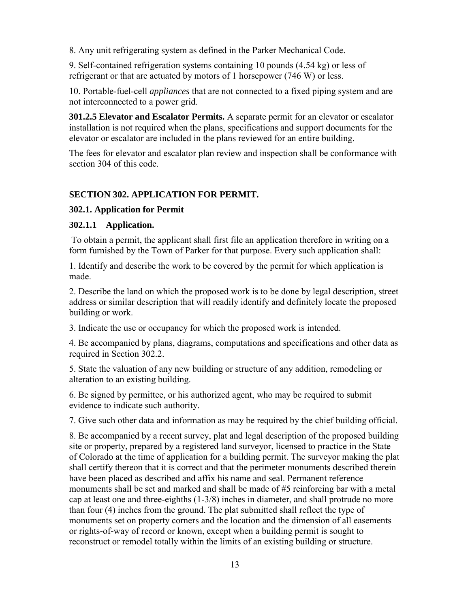8. Any unit refrigerating system as defined in the Parker Mechanical Code.

9. Self-contained refrigeration systems containing 10 pounds (4.54 kg) or less of refrigerant or that are actuated by motors of 1 horsepower (746 W) or less.

10. Portable-fuel-cell *appliances* that are not connected to a fixed piping system and are not interconnected to a power grid.

**301.2.5 Elevator and Escalator Permits.** A separate permit for an elevator or escalator installation is not required when the plans, specifications and support documents for the elevator or escalator are included in the plans reviewed for an entire building.

The fees for elevator and escalator plan review and inspection shall be conformance with section 304 of this code.

# **SECTION 302. APPLICATION FOR PERMIT.**

# **302.1. Application for Permit**

### **302.1.1 Application.**

To obtain a permit, the applicant shall first file an application therefore in writing on a form furnished by the Town of Parker for that purpose. Every such application shall:

1. Identify and describe the work to be covered by the permit for which application is made.

2. Describe the land on which the proposed work is to be done by legal description, street address or similar description that will readily identify and definitely locate the proposed building or work.

3. Indicate the use or occupancy for which the proposed work is intended.

4. Be accompanied by plans, diagrams, computations and specifications and other data as required in Section 302.2.

5. State the valuation of any new building or structure of any addition, remodeling or alteration to an existing building.

6. Be signed by permittee, or his authorized agent, who may be required to submit evidence to indicate such authority.

7. Give such other data and information as may be required by the chief building official.

8. Be accompanied by a recent survey, plat and legal description of the proposed building site or property, prepared by a registered land surveyor, licensed to practice in the State of Colorado at the time of application for a building permit. The surveyor making the plat shall certify thereon that it is correct and that the perimeter monuments described therein have been placed as described and affix his name and seal. Permanent reference monuments shall be set and marked and shall be made of #5 reinforcing bar with a metal cap at least one and three-eighths (1-3/8) inches in diameter, and shall protrude no more than four (4) inches from the ground. The plat submitted shall reflect the type of monuments set on property corners and the location and the dimension of all easements or rights-of-way of record or known, except when a building permit is sought to reconstruct or remodel totally within the limits of an existing building or structure.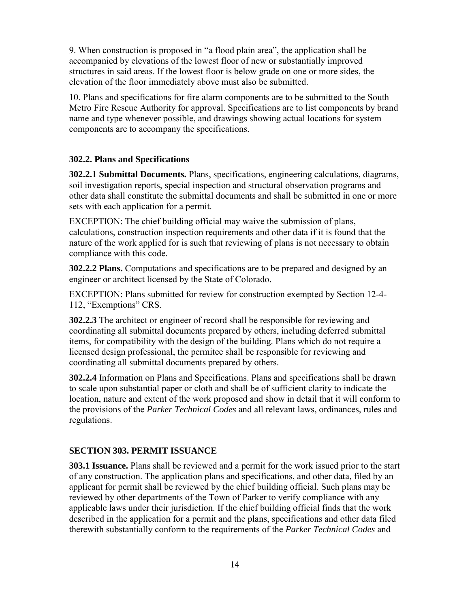9. When construction is proposed in "a flood plain area", the application shall be accompanied by elevations of the lowest floor of new or substantially improved structures in said areas. If the lowest floor is below grade on one or more sides, the elevation of the floor immediately above must also be submitted.

10. Plans and specifications for fire alarm components are to be submitted to the South Metro Fire Rescue Authority for approval. Specifications are to list components by brand name and type whenever possible, and drawings showing actual locations for system components are to accompany the specifications.

# **302.2. Plans and Specifications**

**302.2.1 Submittal Documents.** Plans, specifications, engineering calculations, diagrams, soil investigation reports, special inspection and structural observation programs and other data shall constitute the submittal documents and shall be submitted in one or more sets with each application for a permit.

EXCEPTION: The chief building official may waive the submission of plans, calculations, construction inspection requirements and other data if it is found that the nature of the work applied for is such that reviewing of plans is not necessary to obtain compliance with this code.

**302.2.2 Plans.** Computations and specifications are to be prepared and designed by an engineer or architect licensed by the State of Colorado.

EXCEPTION: Plans submitted for review for construction exempted by Section 12-4- 112, "Exemptions" CRS.

**302.2.3** The architect or engineer of record shall be responsible for reviewing and coordinating all submittal documents prepared by others, including deferred submittal items, for compatibility with the design of the building. Plans which do not require a licensed design professional, the permitee shall be responsible for reviewing and coordinating all submittal documents prepared by others.

**302.2.4** Information on Plans and Specifications. Plans and specifications shall be drawn to scale upon substantial paper or cloth and shall be of sufficient clarity to indicate the location, nature and extent of the work proposed and show in detail that it will conform to the provisions of the *Parker Technical Codes* and all relevant laws, ordinances, rules and regulations.

### **SECTION 303. PERMIT ISSUANCE**

**303.1 Issuance.** Plans shall be reviewed and a permit for the work issued prior to the start of any construction. The application plans and specifications, and other data, filed by an applicant for permit shall be reviewed by the chief building official. Such plans may be reviewed by other departments of the Town of Parker to verify compliance with any applicable laws under their jurisdiction. If the chief building official finds that the work described in the application for a permit and the plans, specifications and other data filed therewith substantially conform to the requirements of the *Parker Technical Codes* and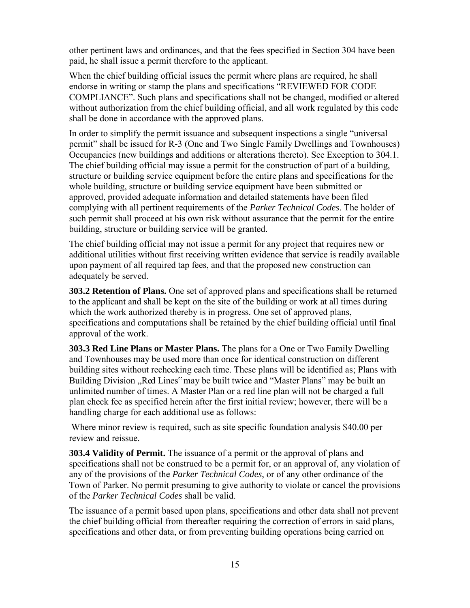other pertinent laws and ordinances, and that the fees specified in Section 304 have been paid, he shall issue a permit therefore to the applicant.

When the chief building official issues the permit where plans are required, he shall endorse in writing or stamp the plans and specifications "REVIEWED FOR CODE COMPLIANCE". Such plans and specifications shall not be changed, modified or altered without authorization from the chief building official, and all work regulated by this code shall be done in accordance with the approved plans.

In order to simplify the permit issuance and subsequent inspections a single "universal permit" shall be issued for R-3 (One and Two Single Family Dwellings and Townhouses) Occupancies (new buildings and additions or alterations thereto). See Exception to 304.1. The chief building official may issue a permit for the construction of part of a building, structure or building service equipment before the entire plans and specifications for the whole building, structure or building service equipment have been submitted or approved, provided adequate information and detailed statements have been filed complying with all pertinent requirements of the *Parker Technical Codes*. The holder of such permit shall proceed at his own risk without assurance that the permit for the entire building, structure or building service will be granted.

The chief building official may not issue a permit for any project that requires new or additional utilities without first receiving written evidence that service is readily available upon payment of all required tap fees, and that the proposed new construction can adequately be served.

**303.2 Retention of Plans.** One set of approved plans and specifications shall be returned to the applicant and shall be kept on the site of the building or work at all times during which the work authorized thereby is in progress. One set of approved plans, specifications and computations shall be retained by the chief building official until final approval of the work.

**303.3 Red Line Plans or Master Plans.** The plans for a One or Two Family Dwelling and Townhouses may be used more than once for identical construction on different building sites without rechecking each time. These plans will be identified as; Plans with Building Division "Red Lines" may be built twice and "Master Plans" may be built an unlimited number of times. A Master Plan or a red line plan will not be charged a full plan check fee as specified herein after the first initial review; however, there will be a handling charge for each additional use as follows:

Where minor review is required, such as site specific foundation analysis \$40.00 per review and reissue.

**303.4 Validity of Permit.** The issuance of a permit or the approval of plans and specifications shall not be construed to be a permit for, or an approval of, any violation of any of the provisions of the *Parker Technical Codes*, or of any other ordinance of the Town of Parker. No permit presuming to give authority to violate or cancel the provisions of the *Parker Technical Codes* shall be valid.

The issuance of a permit based upon plans, specifications and other data shall not prevent the chief building official from thereafter requiring the correction of errors in said plans, specifications and other data, or from preventing building operations being carried on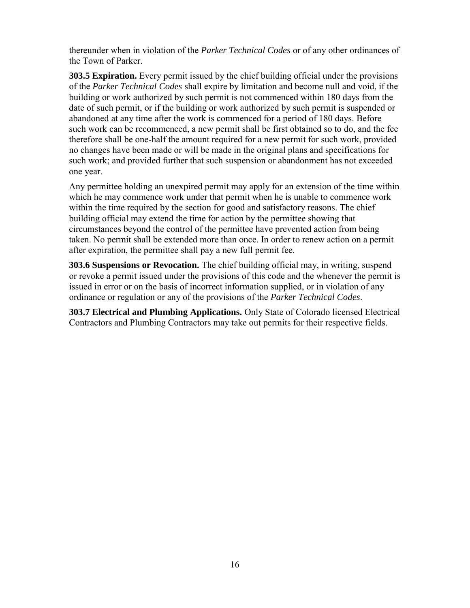thereunder when in violation of the *Parker Technical Codes* or of any other ordinances of the Town of Parker.

**303.5 Expiration.** Every permit issued by the chief building official under the provisions of the *Parker Technical Codes* shall expire by limitation and become null and void, if the building or work authorized by such permit is not commenced within 180 days from the date of such permit, or if the building or work authorized by such permit is suspended or abandoned at any time after the work is commenced for a period of 180 days. Before such work can be recommenced, a new permit shall be first obtained so to do, and the fee therefore shall be one-half the amount required for a new permit for such work, provided no changes have been made or will be made in the original plans and specifications for such work; and provided further that such suspension or abandonment has not exceeded one year.

Any permittee holding an unexpired permit may apply for an extension of the time within which he may commence work under that permit when he is unable to commence work within the time required by the section for good and satisfactory reasons. The chief building official may extend the time for action by the permittee showing that circumstances beyond the control of the permittee have prevented action from being taken. No permit shall be extended more than once. In order to renew action on a permit after expiration, the permittee shall pay a new full permit fee.

**303.6 Suspensions or Revocation.** The chief building official may, in writing, suspend or revoke a permit issued under the provisions of this code and the whenever the permit is issued in error or on the basis of incorrect information supplied, or in violation of any ordinance or regulation or any of the provisions of the *Parker Technical Codes*.

**303.7 Electrical and Plumbing Applications.** Only State of Colorado licensed Electrical Contractors and Plumbing Contractors may take out permits for their respective fields.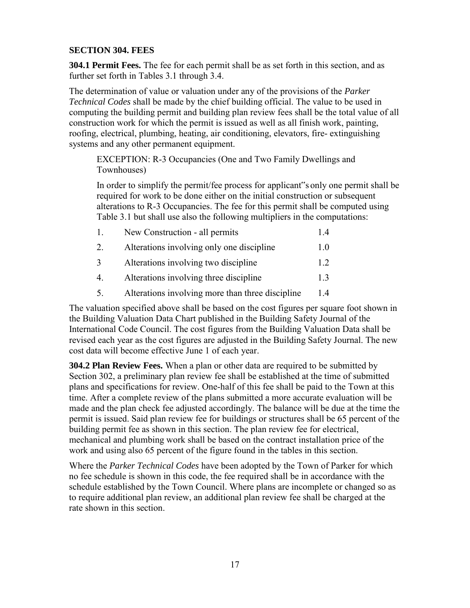# **SECTION 304. FEES**

**304.1 Permit Fees.** The fee for each permit shall be as set forth in this section, and as further set forth in Tables 3.1 through 3.4.

The determination of value or valuation under any of the provisions of the *Parker Technical Codes* shall be made by the chief building official. The value to be used in computing the building permit and building plan review fees shall be the total value of all construction work for which the permit is issued as well as all finish work, painting, roofing, electrical, plumbing, heating, air conditioning, elevators, fire- extinguishing systems and any other permanent equipment.

EXCEPTION: R-3 Occupancies (One and Two Family Dwellings and Townhouses)

In order to simplify the permit/fee process for applicant"s only one permit shall be required for work to be done either on the initial construction or subsequent alterations to R-3 Occupancies. The fee for this permit shall be computed using Table 3.1 but shall use also the following multipliers in the computations:

| 1. | New Construction - all permits                   | 14   |
|----|--------------------------------------------------|------|
| 2. | Alterations involving only one discipline        | 1.0  |
| 3  | Alterations involving two discipline             | 1.2. |
| 4. | Alterations involving three discipline           | 1.3  |
| 5. | Alterations involving more than three discipline | 1.4  |

The valuation specified above shall be based on the cost figures per square foot shown in the Building Valuation Data Chart published in the Building Safety Journal of the International Code Council. The cost figures from the Building Valuation Data shall be revised each year as the cost figures are adjusted in the Building Safety Journal. The new cost data will become effective June 1 of each year.

**304.2 Plan Review Fees.** When a plan or other data are required to be submitted by Section 302, a preliminary plan review fee shall be established at the time of submitted plans and specifications for review. One-half of this fee shall be paid to the Town at this time. After a complete review of the plans submitted a more accurate evaluation will be made and the plan check fee adjusted accordingly. The balance will be due at the time the permit is issued. Said plan review fee for buildings or structures shall be 65 percent of the building permit fee as shown in this section. The plan review fee for electrical, mechanical and plumbing work shall be based on the contract installation price of the work and using also 65 percent of the figure found in the tables in this section.

Where the *Parker Technical Codes* have been adopted by the Town of Parker for which no fee schedule is shown in this code, the fee required shall be in accordance with the schedule established by the Town Council. Where plans are incomplete or changed so as to require additional plan review, an additional plan review fee shall be charged at the rate shown in this section.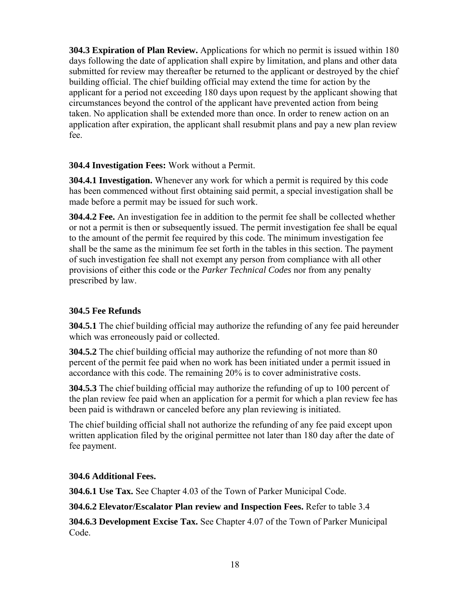**304.3 Expiration of Plan Review.** Applications for which no permit is issued within 180 days following the date of application shall expire by limitation, and plans and other data submitted for review may thereafter be returned to the applicant or destroyed by the chief building official. The chief building official may extend the time for action by the applicant for a period not exceeding 180 days upon request by the applicant showing that circumstances beyond the control of the applicant have prevented action from being taken. No application shall be extended more than once. In order to renew action on an application after expiration, the applicant shall resubmit plans and pay a new plan review fee.

# **304.4 Investigation Fees:** Work without a Permit.

**304.4.1 Investigation.** Whenever any work for which a permit is required by this code has been commenced without first obtaining said permit, a special investigation shall be made before a permit may be issued for such work.

**304.4.2 Fee.** An investigation fee in addition to the permit fee shall be collected whether or not a permit is then or subsequently issued. The permit investigation fee shall be equal to the amount of the permit fee required by this code. The minimum investigation fee shall be the same as the minimum fee set forth in the tables in this section. The payment of such investigation fee shall not exempt any person from compliance with all other provisions of either this code or the *Parker Technical Codes* nor from any penalty prescribed by law.

# **304.5 Fee Refunds**

**304.5.1** The chief building official may authorize the refunding of any fee paid hereunder which was erroneously paid or collected.

**304.5.2** The chief building official may authorize the refunding of not more than 80 percent of the permit fee paid when no work has been initiated under a permit issued in accordance with this code. The remaining 20% is to cover administrative costs.

**304.5.3** The chief building official may authorize the refunding of up to 100 percent of the plan review fee paid when an application for a permit for which a plan review fee has been paid is withdrawn or canceled before any plan reviewing is initiated.

The chief building official shall not authorize the refunding of any fee paid except upon written application filed by the original permittee not later than 180 day after the date of fee payment.

### **304.6 Additional Fees.**

**304.6.1 Use Tax.** See Chapter 4.03 of the Town of Parker Municipal Code.

### **304.6.2 Elevator/Escalator Plan review and Inspection Fees.** Refer to table 3.4

**304.6.3 Development Excise Tax.** See Chapter 4.07 of the Town of Parker Municipal Code.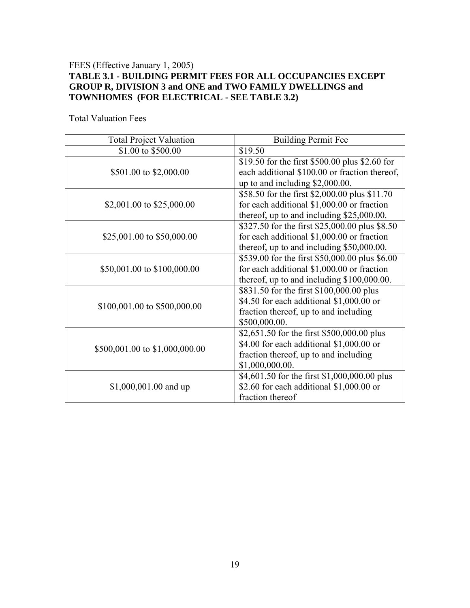### FEES (Effective January 1, 2005) **TABLE 3.1 - BUILDING PERMIT FEES FOR ALL OCCUPANCIES EXCEPT GROUP R, DIVISION 3 and ONE and TWO FAMILY DWELLINGS and TOWNHOMES (FOR ELECTRICAL - SEE TABLE 3.2)**

| <b>Total Project Valuation</b> | <b>Building Permit Fee</b>                     |  |  |
|--------------------------------|------------------------------------------------|--|--|
| \$1.00 to \$500.00             | \$19.50                                        |  |  |
|                                | \$19.50 for the first \$500.00 plus \$2.60 for |  |  |
| \$501.00 to \$2,000.00         | each additional \$100.00 or fraction thereof,  |  |  |
|                                | up to and including \$2,000.00.                |  |  |
|                                | \$58.50 for the first \$2,000.00 plus \$11.70  |  |  |
| \$2,001.00 to \$25,000.00      | for each additional \$1,000.00 or fraction     |  |  |
|                                | thereof, up to and including \$25,000.00.      |  |  |
|                                | \$327.50 for the first \$25,000.00 plus \$8.50 |  |  |
| \$25,001.00 to \$50,000.00     | for each additional \$1,000.00 or fraction     |  |  |
|                                | thereof, up to and including \$50,000.00.      |  |  |
|                                | \$539.00 for the first \$50,000.00 plus \$6.00 |  |  |
| \$50,001.00 to \$100,000.00    | for each additional \$1,000.00 or fraction     |  |  |
|                                | thereof, up to and including \$100,000.00.     |  |  |
|                                | \$831.50 for the first \$100,000.00 plus       |  |  |
| \$100,001.00 to \$500,000.00   | \$4.50 for each additional \$1,000.00 or       |  |  |
|                                | fraction thereof, up to and including          |  |  |
|                                | \$500,000.00.                                  |  |  |
|                                | \$2,651.50 for the first \$500,000.00 plus     |  |  |
| \$500,001.00 to \$1,000,000.00 | \$4.00 for each additional \$1,000.00 or       |  |  |
|                                | fraction thereof, up to and including          |  |  |
|                                | \$1,000,000.00.                                |  |  |
|                                | \$4,601.50 for the first \$1,000,000.00 plus   |  |  |
| $$1,000,001.00$ and up         | \$2.60 for each additional $$1,000.00$ or      |  |  |
|                                | fraction thereof                               |  |  |

Total Valuation Fees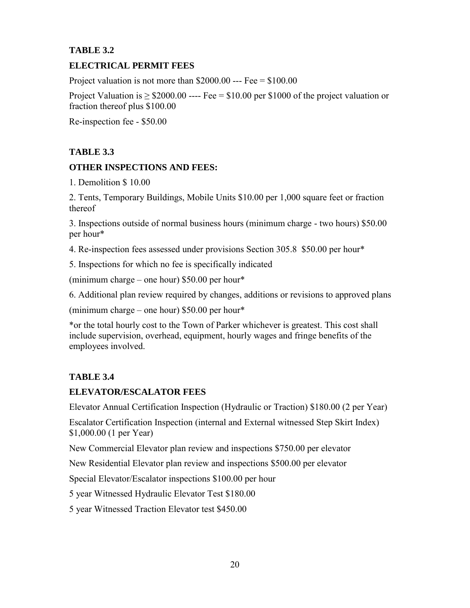# **TABLE 3.2**

# **ELECTRICAL PERMIT FEES**

Project valuation is not more than  $$2000.00$  --- Fee =  $$100.00$ 

Project Valuation is  $\geq$  \$2000.00 ---- Fee = \$10.00 per \$1000 of the project valuation or fraction thereof plus \$100.00

Re-inspection fee - \$50.00

# **TABLE 3.3**

# **OTHER INSPECTIONS AND FEES:**

1. Demolition \$ 10.00

2. Tents, Temporary Buildings, Mobile Units \$10.00 per 1,000 square feet or fraction thereof

3. Inspections outside of normal business hours (minimum charge - two hours) \$50.00 per hour\*

4. Re-inspection fees assessed under provisions Section 305.8 \$50.00 per hour\*

5. Inspections for which no fee is specifically indicated

(minimum charge – one hour) \$50.00 per hour\*

6. Additional plan review required by changes, additions or revisions to approved plans

(minimum charge – one hour) \$50.00 per hour\*

\*or the total hourly cost to the Town of Parker whichever is greatest. This cost shall include supervision, overhead, equipment, hourly wages and fringe benefits of the employees involved.

# **TABLE 3.4**

# **ELEVATOR/ESCALATOR FEES**

Elevator Annual Certification Inspection (Hydraulic or Traction) \$180.00 (2 per Year)

Escalator Certification Inspection (internal and External witnessed Step Skirt Index) \$1,000.00 (1 per Year)

New Commercial Elevator plan review and inspections \$750.00 per elevator

New Residential Elevator plan review and inspections \$500.00 per elevator

Special Elevator/Escalator inspections \$100.00 per hour

5 year Witnessed Hydraulic Elevator Test \$180.00

5 year Witnessed Traction Elevator test \$450.00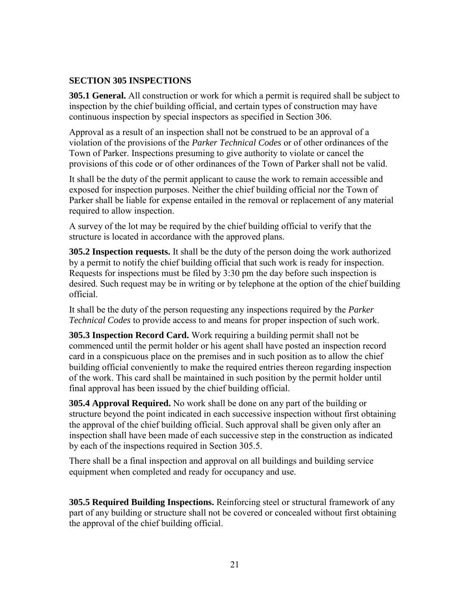### **SECTION 305 INSPECTIONS**

**305.1 General.** All construction or work for which a permit is required shall be subject to inspection by the chief building official, and certain types of construction may have continuous inspection by special inspectors as specified in Section 306.

Approval as a result of an inspection shall not be construed to be an approval of a violation of the provisions of the *Parker Technical Codes* or of other ordinances of the Town of Parker. Inspections presuming to give authority to violate or cancel the provisions of this code or of other ordinances of the Town of Parker shall not be valid.

It shall be the duty of the permit applicant to cause the work to remain accessible and exposed for inspection purposes. Neither the chief building official nor the Town of Parker shall be liable for expense entailed in the removal or replacement of any material required to allow inspection.

A survey of the lot may be required by the chief building official to verify that the structure is located in accordance with the approved plans.

**305.2 Inspection requests.** It shall be the duty of the person doing the work authorized by a permit to notify the chief building official that such work is ready for inspection. Requests for inspections must be filed by 3:30 pm the day before such inspection is desired. Such request may be in writing or by telephone at the option of the chief building official.

It shall be the duty of the person requesting any inspections required by the *Parker Technical Codes* to provide access to and means for proper inspection of such work.

**305.3 Inspection Record Card.** Work requiring a building permit shall not be commenced until the permit holder or his agent shall have posted an inspection record card in a conspicuous place on the premises and in such position as to allow the chief building official conveniently to make the required entries thereon regarding inspection of the work. This card shall be maintained in such position by the permit holder until final approval has been issued by the chief building official.

**305.4 Approval Required.** No work shall be done on any part of the building or structure beyond the point indicated in each successive inspection without first obtaining the approval of the chief building official. Such approval shall be given only after an inspection shall have been made of each successive step in the construction as indicated by each of the inspections required in Section 305.5.

There shall be a final inspection and approval on all buildings and building service equipment when completed and ready for occupancy and use.

**305.5 Required Building Inspections.** Reinforcing steel or structural framework of any part of any building or structure shall not be covered or concealed without first obtaining the approval of the chief building official.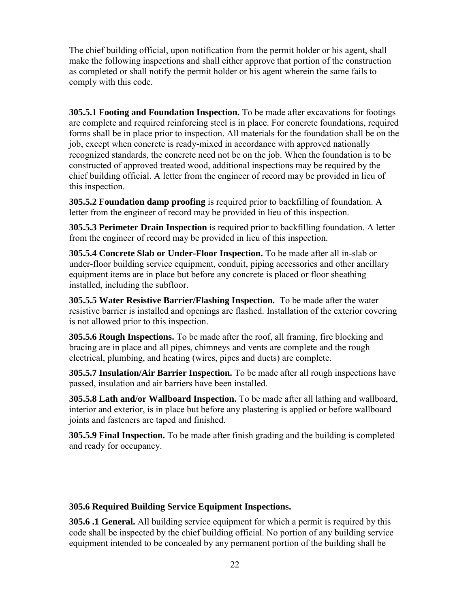The chief building official, upon notification from the permit holder or his agent, shall make the following inspections and shall either approve that portion of the construction as completed or shall notify the permit holder or his agent wherein the same fails to comply with this code.

**305.5.1 Footing and Foundation Inspection.** To be made after excavations for footings are complete and required reinforcing steel is in place. For concrete foundations, required forms shall be in place prior to inspection. All materials for the foundation shall be on the job, except when concrete is ready-mixed in accordance with approved nationally recognized standards, the concrete need not be on the job. When the foundation is to be constructed of approved treated wood, additional inspections may be required by the chief building official. A letter from the engineer of record may be provided in lieu of this inspection.

**305.5.2 Foundation damp proofing** is required prior to backfilling of foundation. A letter from the engineer of record may be provided in lieu of this inspection.

**305.5.3 Perimeter Drain Inspection** is required prior to backfilling foundation. A letter from the engineer of record may be provided in lieu of this inspection.

**305.5.4 Concrete Slab or Under-Floor Inspection.** To be made after all in-slab or under-floor building service equipment, conduit, piping accessories and other ancillary equipment items are in place but before any concrete is placed or floor sheathing installed, including the subfloor.

**305.5.5 Water Resistive Barrier/Flashing Inspection.** To be made after the water resistive barrier is installed and openings are flashed. Installation of the exterior covering is not allowed prior to this inspection.

**305.5.6 Rough Inspections.** To be made after the roof, all framing, fire blocking and bracing are in place and all pipes, chimneys and vents are complete and the rough electrical, plumbing, and heating (wires, pipes and ducts) are complete.

**305.5.7 Insulation/Air Barrier Inspection.** To be made after all rough inspections have passed, insulation and air barriers have been installed.

**305.5.8 Lath and/or Wallboard Inspection.** To be made after all lathing and wallboard, interior and exterior, is in place but before any plastering is applied or before wallboard joints and fasteners are taped and finished.

**305.5.9 Final Inspection.** To be made after finish grading and the building is completed and ready for occupancy.

# **305.6 Required Building Service Equipment Inspections.**

**305.6 .1 General.** All building service equipment for which a permit is required by this code shall be inspected by the chief building official. No portion of any building service equipment intended to be concealed by any permanent portion of the building shall be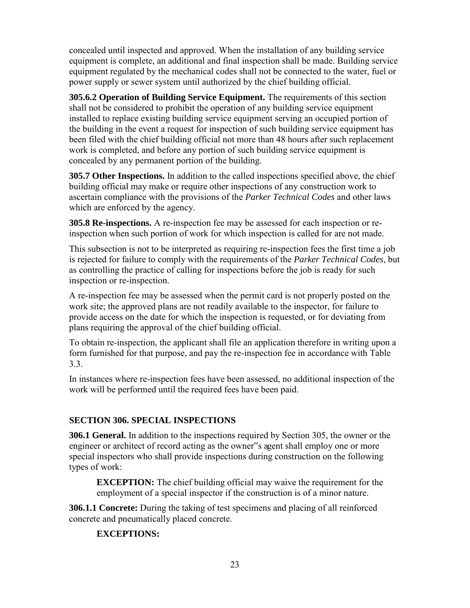concealed until inspected and approved. When the installation of any building service equipment is complete, an additional and final inspection shall be made. Building service equipment regulated by the mechanical codes shall not be connected to the water, fuel or power supply or sewer system until authorized by the chief building official.

**305.6.2 Operation of Building Service Equipment.** The requirements of this section shall not be considered to prohibit the operation of any building service equipment installed to replace existing building service equipment serving an occupied portion of the building in the event a request for inspection of such building service equipment has been filed with the chief building official not more than 48 hours after such replacement work is completed, and before any portion of such building service equipment is concealed by any permanent portion of the building.

**305.7 Other Inspections.** In addition to the called inspections specified above, the chief building official may make or require other inspections of any construction work to ascertain compliance with the provisions of the *Parker Technical Codes* and other laws which are enforced by the agency.

**305.8 Re-inspections.** A re-inspection fee may be assessed for each inspection or reinspection when such portion of work for which inspection is called for are not made.

This subsection is not to be interpreted as requiring re-inspection fees the first time a job is rejected for failure to comply with the requirements of the *Parker Technical Codes*, but as controlling the practice of calling for inspections before the job is ready for such inspection or re-inspection.

A re-inspection fee may be assessed when the permit card is not properly posted on the work site; the approved plans are not readily available to the inspector, for failure to provide access on the date for which the inspection is requested, or for deviating from plans requiring the approval of the chief building official.

To obtain re-inspection, the applicant shall file an application therefore in writing upon a form furnished for that purpose, and pay the re-inspection fee in accordance with Table 3.3.

In instances where re-inspection fees have been assessed, no additional inspection of the work will be performed until the required fees have been paid.

# **SECTION 306. SPECIAL INSPECTIONS**

**306.1 General.** In addition to the inspections required by Section 305, the owner or the engineer or architect of record acting as the owner"s agent shall employ one or more special inspectors who shall provide inspections during construction on the following types of work:

**EXCEPTION:** The chief building official may waive the requirement for the employment of a special inspector if the construction is of a minor nature.

**306.1.1 Concrete:** During the taking of test specimens and placing of all reinforced concrete and pneumatically placed concrete.

# **EXCEPTIONS:**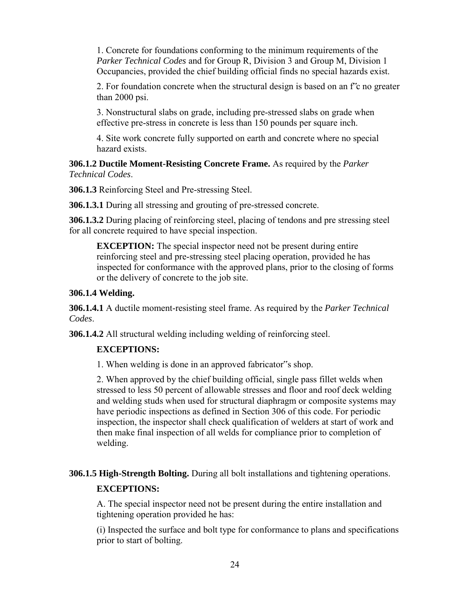1. Concrete for foundations conforming to the minimum requirements of the *Parker Technical Codes* and for Group R, Division 3 and Group M, Division 1 Occupancies, provided the chief building official finds no special hazards exist.

2. For foundation concrete when the structural design is based on an f"c no greater than 2000 psi.

3. Nonstructural slabs on grade, including pre-stressed slabs on grade when effective pre-stress in concrete is less than 150 pounds per square inch.

4. Site work concrete fully supported on earth and concrete where no special hazard exists.

### **306.1.2 Ductile Moment-Resisting Concrete Frame.** As required by the *Parker Technical Codes*.

**306.1.3** Reinforcing Steel and Pre-stressing Steel.

**306.1.3.1** During all stressing and grouting of pre-stressed concrete.

**306.1.3.2** During placing of reinforcing steel, placing of tendons and pre stressing steel for all concrete required to have special inspection.

**EXCEPTION:** The special inspector need not be present during entire reinforcing steel and pre-stressing steel placing operation, provided he has inspected for conformance with the approved plans, prior to the closing of forms or the delivery of concrete to the job site.

# **306.1.4 Welding.**

**306.1.4.1** A ductile moment-resisting steel frame. As required by the *Parker Technical Codes*.

**306.1.4.2** All structural welding including welding of reinforcing steel.

# **EXCEPTIONS:**

1. When welding is done in an approved fabricator"s shop.

2. When approved by the chief building official, single pass fillet welds when stressed to less 50 percent of allowable stresses and floor and roof deck welding and welding studs when used for structural diaphragm or composite systems may have periodic inspections as defined in Section 306 of this code. For periodic inspection, the inspector shall check qualification of welders at start of work and then make final inspection of all welds for compliance prior to completion of welding.

**306.1.5 High-Strength Bolting.** During all bolt installations and tightening operations.

# **EXCEPTIONS:**

A. The special inspector need not be present during the entire installation and tightening operation provided he has:

(i) Inspected the surface and bolt type for conformance to plans and specifications prior to start of bolting.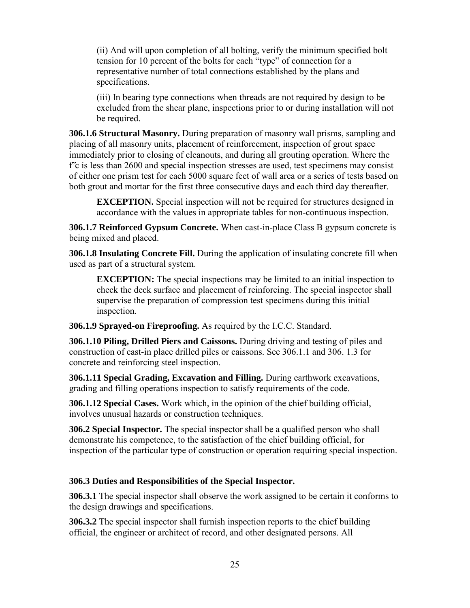(ii) And will upon completion of all bolting, verify the minimum specified bolt tension for 10 percent of the bolts for each "type" of connection for a representative number of total connections established by the plans and specifications.

(iii) In bearing type connections when threads are not required by design to be excluded from the shear plane, inspections prior to or during installation will not be required.

**306.1.6 Structural Masonry.** During preparation of masonry wall prisms, sampling and placing of all masonry units, placement of reinforcement, inspection of grout space immediately prior to closing of cleanouts, and during all grouting operation. Where the  $f \circ$  is less than 2600 and special inspection stresses are used, test specimens may consist of either one prism test for each 5000 square feet of wall area or a series of tests based on both grout and mortar for the first three consecutive days and each third day thereafter.

**EXCEPTION.** Special inspection will not be required for structures designed in accordance with the values in appropriate tables for non-continuous inspection.

**306.1.7 Reinforced Gypsum Concrete.** When cast-in-place Class B gypsum concrete is being mixed and placed.

**306.1.8 Insulating Concrete Fill.** During the application of insulating concrete fill when used as part of a structural system.

**EXCEPTION:** The special inspections may be limited to an initial inspection to check the deck surface and placement of reinforcing. The special inspector shall supervise the preparation of compression test specimens during this initial inspection.

**306.1.9 Sprayed-on Fireproofing.** As required by the I.C.C. Standard.

**306.1.10 Piling, Drilled Piers and Caissons.** During driving and testing of piles and construction of cast-in place drilled piles or caissons. See 306.1.1 and 306. 1.3 for concrete and reinforcing steel inspection.

**306.1.11 Special Grading, Excavation and Filling.** During earthwork excavations, grading and filling operations inspection to satisfy requirements of the code.

**306.1.12 Special Cases.** Work which, in the opinion of the chief building official, involves unusual hazards or construction techniques.

**306.2 Special Inspector.** The special inspector shall be a qualified person who shall demonstrate his competence, to the satisfaction of the chief building official, for inspection of the particular type of construction or operation requiring special inspection.

# **306.3 Duties and Responsibilities of the Special Inspector.**

**306.3.1** The special inspector shall observe the work assigned to be certain it conforms to the design drawings and specifications.

**306.3.2** The special inspector shall furnish inspection reports to the chief building official, the engineer or architect of record, and other designated persons. All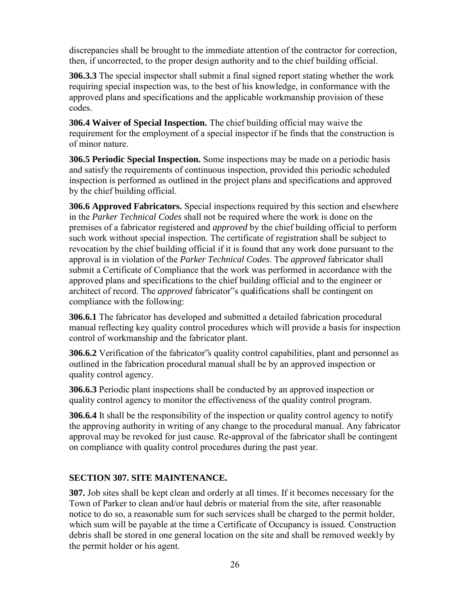discrepancies shall be brought to the immediate attention of the contractor for correction, then, if uncorrected, to the proper design authority and to the chief building official.

**306.3.3** The special inspector shall submit a final signed report stating whether the work requiring special inspection was, to the best of his knowledge, in conformance with the approved plans and specifications and the applicable workmanship provision of these codes.

**306.4 Waiver of Special Inspection.** The chief building official may waive the requirement for the employment of a special inspector if he finds that the construction is of minor nature.

**306.5 Periodic Special Inspection.** Some inspections may be made on a periodic basis and satisfy the requirements of continuous inspection, provided this periodic scheduled inspection is performed as outlined in the project plans and specifications and approved by the chief building official.

**306.6 Approved Fabricators.** Special inspections required by this section and elsewhere in the *Parker Technical Codes* shall not be required where the work is done on the premises of a fabricator registered and *approved* by the chief building official to perform such work without special inspection. The certificate of registration shall be subject to revocation by the chief building official if it is found that any work done pursuant to the approval is in violation of the *Parker Technical Codes*. The *approved* fabricator shall submit a Certificate of Compliance that the work was performed in accordance with the approved plans and specifications to the chief building official and to the engineer or architect of record. The *approved* fabricator"s qualifications shall be contingent on compliance with the following:

**306.6.1** The fabricator has developed and submitted a detailed fabrication procedural manual reflecting key quality control procedures which will provide a basis for inspection control of workmanship and the fabricator plant.

**306.6.2** Verification of the fabricator"s quality control capabilities, plant and personnel as outlined in the fabrication procedural manual shall be by an approved inspection or quality control agency.

**306.6.3** Periodic plant inspections shall be conducted by an approved inspection or quality control agency to monitor the effectiveness of the quality control program.

**306.6.4** It shall be the responsibility of the inspection or quality control agency to notify the approving authority in writing of any change to the procedural manual. Any fabricator approval may be revoked for just cause. Re-approval of the fabricator shall be contingent on compliance with quality control procedures during the past year.

# **SECTION 307. SITE MAINTENANCE.**

**307.** Job sites shall be kept clean and orderly at all times. If it becomes necessary for the Town of Parker to clean and/or haul debris or material from the site, after reasonable notice to do so, a reasonable sum for such services shall be charged to the permit holder, which sum will be payable at the time a Certificate of Occupancy is issued. Construction debris shall be stored in one general location on the site and shall be removed weekly by the permit holder or his agent.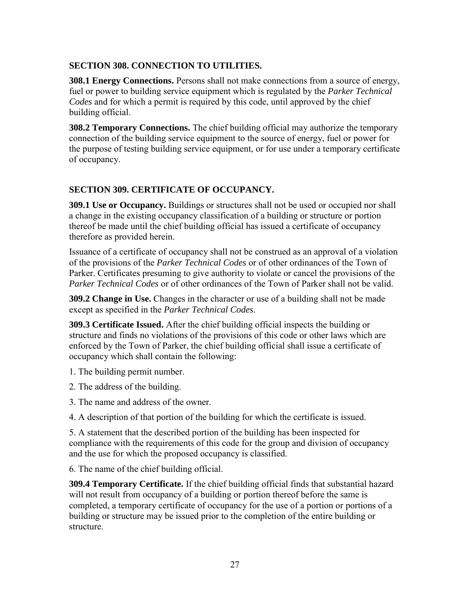# **SECTION 308. CONNECTION TO UTILITIES.**

**308.1 Energy Connections.** Persons shall not make connections from a source of energy, fuel or power to building service equipment which is regulated by the *Parker Technical Codes* and for which a permit is required by this code, until approved by the chief building official.

**308.2 Temporary Connections.** The chief building official may authorize the temporary connection of the building service equipment to the source of energy, fuel or power for the purpose of testing building service equipment, or for use under a temporary certificate of occupancy.

# **SECTION 309. CERTIFICATE OF OCCUPANCY.**

**309.1 Use or Occupancy.** Buildings or structures shall not be used or occupied nor shall a change in the existing occupancy classification of a building or structure or portion thereof be made until the chief building official has issued a certificate of occupancy therefore as provided herein.

Issuance of a certificate of occupancy shall not be construed as an approval of a violation of the provisions of the *Parker Technical Codes* or of other ordinances of the Town of Parker. Certificates presuming to give authority to violate or cancel the provisions of the *Parker Technical Codes* or of other ordinances of the Town of Parker shall not be valid.

**309.2 Change in Use.** Changes in the character or use of a building shall not be made except as specified in the *Parker Technical Codes*.

**309.3 Certificate Issued.** After the chief building official inspects the building or structure and finds no violations of the provisions of this code or other laws which are enforced by the Town of Parker, the chief building official shall issue a certificate of occupancy which shall contain the following:

1. The building permit number.

- 2. The address of the building.
- 3. The name and address of the owner.

4. A description of that portion of the building for which the certificate is issued.

5. A statement that the described portion of the building has been inspected for compliance with the requirements of this code for the group and division of occupancy and the use for which the proposed occupancy is classified.

6. The name of the chief building official.

**309.4 Temporary Certificate.** If the chief building official finds that substantial hazard will not result from occupancy of a building or portion thereof before the same is completed, a temporary certificate of occupancy for the use of a portion or portions of a building or structure may be issued prior to the completion of the entire building or structure.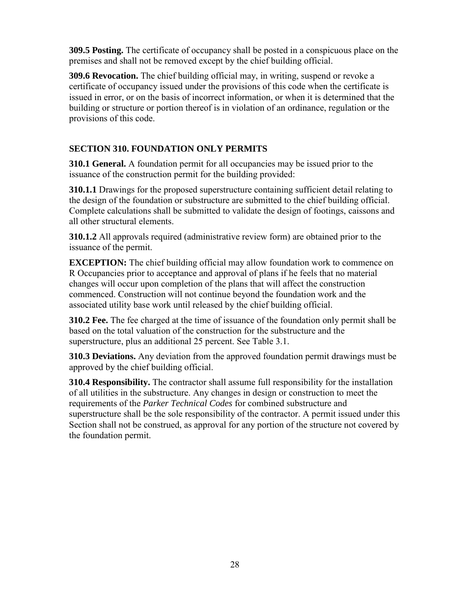**309.5 Posting.** The certificate of occupancy shall be posted in a conspicuous place on the premises and shall not be removed except by the chief building official.

**309.6 Revocation.** The chief building official may, in writing, suspend or revoke a certificate of occupancy issued under the provisions of this code when the certificate is issued in error, or on the basis of incorrect information, or when it is determined that the building or structure or portion thereof is in violation of an ordinance, regulation or the provisions of this code.

# **SECTION 310. FOUNDATION ONLY PERMITS**

**310.1 General.** A foundation permit for all occupancies may be issued prior to the issuance of the construction permit for the building provided:

**310.1.1** Drawings for the proposed superstructure containing sufficient detail relating to the design of the foundation or substructure are submitted to the chief building official. Complete calculations shall be submitted to validate the design of footings, caissons and all other structural elements.

**310.1.2** All approvals required (administrative review form) are obtained prior to the issuance of the permit.

**EXCEPTION:** The chief building official may allow foundation work to commence on R Occupancies prior to acceptance and approval of plans if he feels that no material changes will occur upon completion of the plans that will affect the construction commenced. Construction will not continue beyond the foundation work and the associated utility base work until released by the chief building official.

**310.2 Fee.** The fee charged at the time of issuance of the foundation only permit shall be based on the total valuation of the construction for the substructure and the superstructure, plus an additional 25 percent. See Table 3.1.

**310.3 Deviations.** Any deviation from the approved foundation permit drawings must be approved by the chief building official.

**310.4 Responsibility.** The contractor shall assume full responsibility for the installation of all utilities in the substructure. Any changes in design or construction to meet the requirements of the *Parker Technical Codes* for combined substructure and superstructure shall be the sole responsibility of the contractor. A permit issued under this Section shall not be construed, as approval for any portion of the structure not covered by the foundation permit.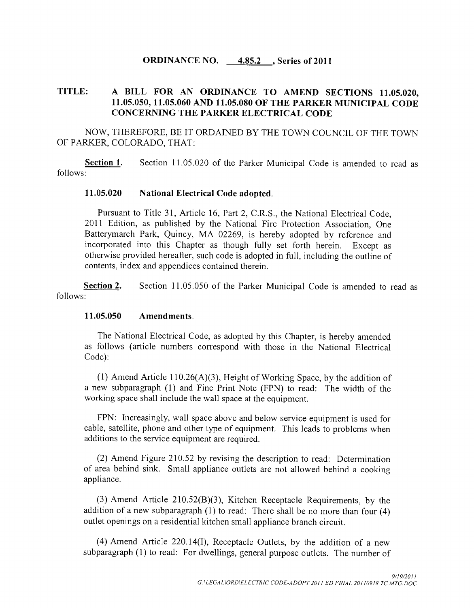### ORDINANCE NO.  $4.85.2$ , Series of 2011

### TITLE: A BILL FOR AN ORDINANCE TO AMEND SECTIONS 11.05.020. 11.05.050, 11.05.060 AND 11.05.080 OF THE PARKER MUNICIPAL CODE CONCERNING THE PARKER ELECTRICAL CODE

NOW, THEREFORE, BE IT ORDAINED BY THE TOWN COUNCIL OF THE TOWN OF PARKER, COLORADO, THAT:

Section 1. Section 11.05.020 of the Parker Municipal Code is amended to read as follows

### 11.05.020 National Electrical Code adopted.

Pursuant to Title 31, Article 16, Part 2, C.R.S., the National Electrical Code. 2011 Edition, as published by the National Fire Protection Association. One Batterymarch Park, Quincy, MA 02269, is hereby adopted by reference and incorporated into this Chapter as though fully set forth herein. Except as incorporated into this Chapter as though fully set forth herein. otherwise provided hereafter, such code is adopted in full, including the outline of contents, index and appendices contained therein.

Section 2. Section 11.05.050 of the Parker Municipal Code is amended to read as follows

### 11.05.050 Amendments.

The National Electrical Code, as adopted by this Chapter, is hereby amended as follows (article numbers correspond with those in the National Electrical Code): 1 1 Amendments.<br>
1 The National Electrical Code, as adopted by this Chapter, is hereby amended<br>
1 follows (article numbers correspond with those in the National Electrical<br>
1 Amend Article 110.26(A)(3), Height of Working

(1) Amend Article 110.26(A)(3), Height of Working Space, by the addition of a new subparagraph (1) and Fine Print Note (FPN) to read: The width of the working space shall include the wall space at the equipment

FPN: Increasingly, wall space above and below service equipment is used for cable, satellite, phone and other type of equipment. This leads to problems when additions to the service equipment are required

 $(2)$  Amend Figure 210.52 by revising the description to read: Determination of area behind sink. Small appliance outlets are not allowed behind a cooking appliance. 3 Amend Figure 210.52 by revising the description to read: Determination<br>3 Amend Figure 210.52 by revising the description to read: Determination<br>1 Amend Sink. Small appliance outlets are not allowed behind a cooking<br>3 Am

(3) Amend Article 210.52(B)(3), Kitchen Receptacle Requirements, by the addition of a new subparagraph (1) to read: There shall be no more than four (4) outlet openings on <sup>a</sup> residential kitchen small appliance branch circuit (2) Amend Figure 210.52 by revising the description to read: Determination area behind sink. Small appliance outlets are not allowed behind a cooking liance.<br>
(3) Amend Article 210.52(B)(3), Kitchen Receptacle Requirement

(4) Amend Article 220.14(I), Receptacle Outlets, by the addition of a new subparagraph  $(1)$  to read: For dwellings, general purpose outlets. The number of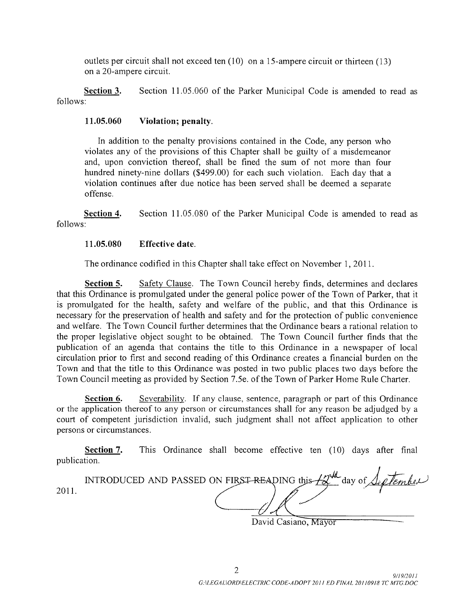outlets per circuit shall not exceed ten  $(10)$  on a 15-ampere circuit or thirteen  $(13)$ on a 20-ampere circuit.

Section 3. Section 11.05.060 of the Parker Municipal Code is amended to read as follows

### $11.05.060$  Violation; penalty.

In addition to the penalty provisions contained in the Code, any person who violates any of the provisions of this Chapter shall be guilty of <sup>a</sup> misdemeanor and, upon conviction thereof, shall be fined the sum of not more than four working any of the provisions of this chapter shart be guity of a misdemeation<br>and, upon conviction thereof, shall be fined the sum of not more than four<br>hundred ninety-nine dollars (\$499.00) for each such violation. Each violation continues after due notice has been served shall be deemed a separate offense

Section 4. Section 11.05.080 of the Parker Municipal Code is amended to read as follows

#### $11.05.080$  Effective date.

The ordinance codified in this Chapter shall take effect on November 1, 2011.

Section 5. Safety Clause. The Town Council hereby finds, determines and declares that this Ordinance is promulgated under the general police power of the Town of Parker, that it is promulgated for the health, safety and welfare of the public, and that this Ordinance is necessary for the preservation of health and safety and for the protection of public convenience and welfare. The Town Council further determines that the Ordinance bears a rational relation to the proper legislative object sought to be obtained. The Town Council further finds that the publication of an agenda that contains the title to this Ordinance in <sup>a</sup> newspaper of local circulation prior to first and second reading of this Ordinance creates <sup>a</sup> financial burden on the Town and that the title to this Ordinance was posted in two public places two days before the Town and that the title to this Ordinance was posted in two public places two days before t<br>Town Council meeting as provided by Section 7.5e. of the Town of Parker Home Rule Charter.

Section 6. Severability. If any clause, sentence, paragraph or part of this Ordinance or the application thereof to any person or circumstances shall for any reason be adjudged by <sup>a</sup> court of competent jurisdiction invalid, such judgment shall not affect application to other persons or circumstances

Section 7. This Ordinance shall become effective ten (10) days after final publication  $\lambda$ 

| publication. |                                                                                                                                                            |
|--------------|------------------------------------------------------------------------------------------------------------------------------------------------------------|
| 2011         | INTRODUCED AND PASSED ON FIRST-READING this $\mathcal{L}^{\mathcal{U}^{\mathcal{U}}}_{\mathcal{U}}$ day of $\mathcal{L}_{\ell}$ ( <i>Leg Tember</i> )<br>. |

David Casiano, Mayor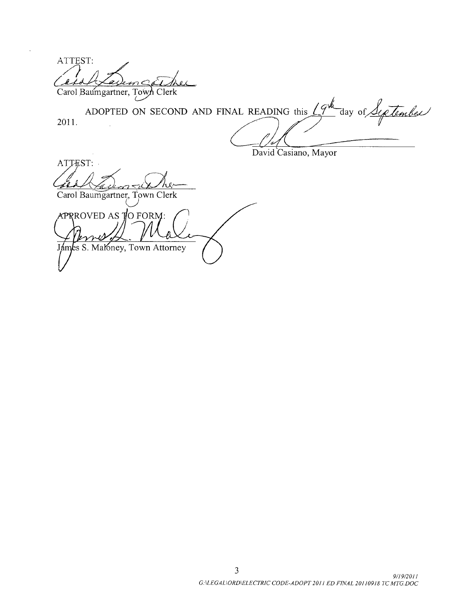ATTEST k. ax Carol Baumgartner, Town Clerk

2011 alt ADOPTED ON SECOND AND FINAL READING this  $\sqrt{9}^{\frac{1}{2}}$  day o

David Casiano, Mayor

ATTEST: he.

Carol Baumgartner, Town Clerk

 $APRROVED AS JO FORM:$ James S. Maloney, Town Attorney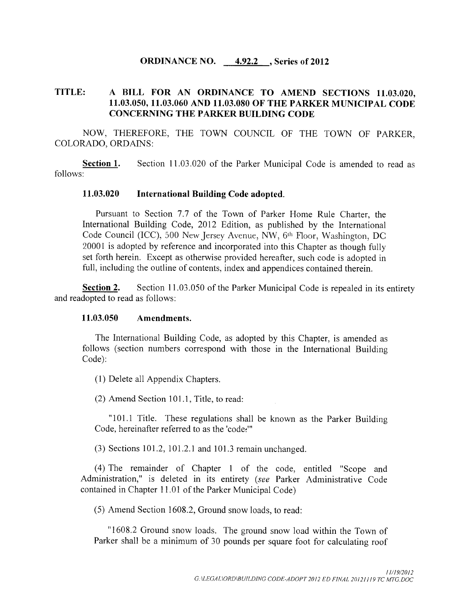#### ORDINANCE NO. 4.92.2 , Series of 2012

## TITLE: A BILL FOR AN ORDINANCE TO AMEND SECTIONS 11.03.020, 11. 03. 050, 11. 03. 060 AND 11. 03.080 OF THE PARKER MUNICIPAL CODE CONCERNING THE PARKER BUILDING CODE

NOW, THEREFORE, THE TOWN COUNCIL OF THE TOWN OF PARKER, COLORADO, ORDAINS:

Section 1. Section 11.03.020 of the Parker Municipal Code is amended to read as follows:

#### 11. 03. 020 International Building Code adopted.

Pursuant to Section 7.7 of the Town of Parker Home Rule Charter, the International Building Code, 2012 Edition, as published by the International Code Council (ICC), 500 New Jersey Avenue, NW, 6<sup>th</sup> Floor, Washington, DC 20001 is adopted by reference and incorporated into this Chapter as though fully set forth herein. Except as otherwise provided hereafter, such code is adopted in full, including the outline of contents, index and appendices contained therein.

Section 2. Section 11.03.050 of the Parker Municipal Code is repealed in its entirety and readopted to read as follows:

#### 11.03.050 Amendments.

The International Building Code, as adopted by this Chapter, is amended as follows ( section numbers correspond with those in the International Building Code):

1) Delete all Appendix Chapters.

 $(2)$  Amend Section 101.1, Title, to read:

"101.1 Title. These regulations shall be known as the Parker Building Code, hereinafter referred to as the 'code:"

 $(3)$  Sections 101.2, 101.2.1 and 101.3 remain unchanged.

4) The remainder of Chapter <sup>1</sup> of the code, entitled " Scope and Administration," is deleted in its entirety (see Parker Administrative Code contained in Chapter 11. <sup>01</sup> of the Parker Municipal Code)

5) Amend Section 1608.2, Ground snow loads, to read:

"1608.2 Ground snow loads. The ground snow load within the Town of Parker shall be <sup>a</sup> minimum of 30 pounds per square foot for calculating roof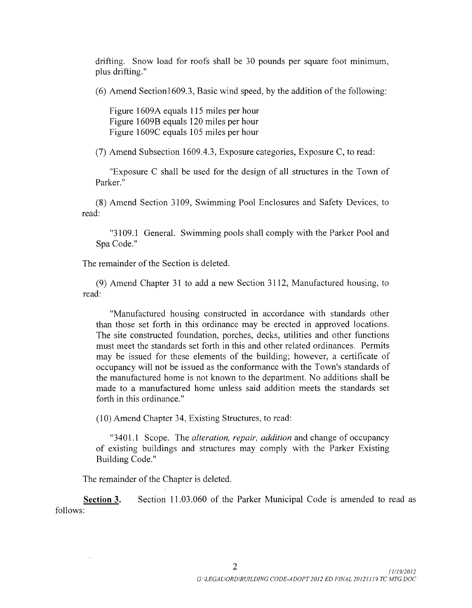drifting. Snow load for roofs shall be <sup>30</sup> pounds per square foot minimum, plus drifting."

 $(6)$  Amend Section1609.3, Basic wind speed, by the addition of the following:

Figure 1609A equals 115 miles per hour Figure 1609B equals 120 miles per hour Figure 1609C equals 105 miles per hour

7) Amend Subsection 1609.4. 3, Exposure categories, Exposure C, to read:

Exposure C shall be used for the design of all structures in the Town of Parker."

8) Amend Section 3109, Swimming Pool Enclosures and Safety Devices, to read:

"3109.1 General. Swimming pools shall comply with the Parker Pool and Spa Code."

The remainder of the Section is deleted.

9) Amend Chapter 31 to add a new Section 3112, Manufactured housing, to read:

Manufactured housing constructed in accordance with standards other than those set forth in this ordinance may be erected in approved locations. The site constructed foundation, porches, decks, utilities and other functions must meet the standards set forth in this and other related ordinances. Permits may be issued for these elements of the building; however, a certificate of occupancy will not be issued as the conformance with the Town's standards of the manufactured home is not known to the department. No additions shall be made to a manufactured home unless said addition meets the standards set forth in this ordinance."

10) Amend Chapter 34, Existing Structures, to read:

"3401.1 Scope. The *alteration, repair, addition* and change of occupancy of existing buildings and structures may comply with the Parker Existing Building Code."

The remainder of the Chapter is deleted.

Section 3. Section 11.03.060 of the Parker Municipal Code is amended to read as follows: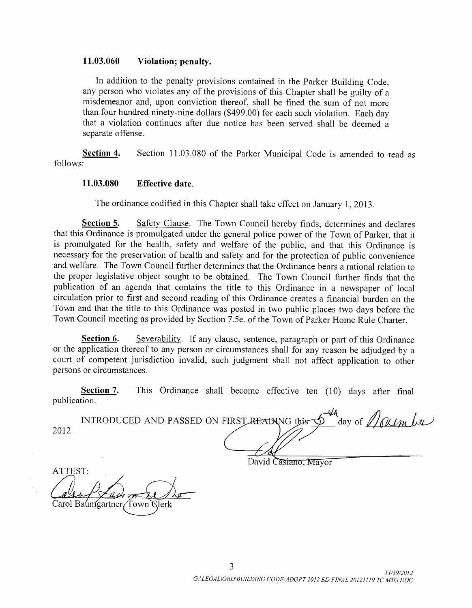#### 11.03.060 Violation; penalty.

In addition to the penalty provisions contained in the Parker Building Code, any person who violates any of the provisions of this Chapter shall be guilty of <sup>a</sup> misdemeanor and, upon conviction thereof, shall be fined the sum of not more than four hundred ninety -nine dollars (\$ 499.00) for each such violation. Each day that a violation continues after due notice has been served shall be deemed a separate offense.

Section 4. Section 11.03.080 of the Parker Municipal Code is amended to read as follows:

#### 11. 03. 080 Effective date.

The ordinance codified in this Chapter shall take effect on January 1, 2013

Section 5. Safety Clause. The Town Council hereby finds, determines and declares that this Ordinance is promulgated under the general police power of the Town of Parker, that it is promulgated for the health, safety and welfare of the public, and that this Ordinance is necessary for the preservation of health and safety and for the protection of public convenience and welfare. The Town Council further determines that the Ordinance bears a rational relation to the proper legislative object sought to be obtained. The Town Council further finds that the publication of an agenda that contains the title to this Ordinance in <sup>a</sup> newspaper of local circulation prior to first and second reading of this Ordinance creates <sup>a</sup> financial burden on the Town and that the title to this Ordinance was posted in two public places two days before the Town Council meeting as provided by Section 7. 5e. of the Town of Parker Home Rule Charter.

Section 6. Severability. If any clause, sentence, paragraph or part of this Ordinance or the application thereof to any person or circumstances shall for any reason be adjudged by a court of competent jurisdiction invalid, such judgment shall not affect application to other persons or circumstances.

Section 7. This Ordinance shall become effective ten (10) days after final publication.

|      | INTRODUCED AND PASSED ON FIRST READING this |  | day of $//\mathcal{QUM}$ |
|------|---------------------------------------------|--|--------------------------|
| 2012 |                                             |  |                          |

asiano. Mavor

ATTEST: Baumgartner/ Town Glerk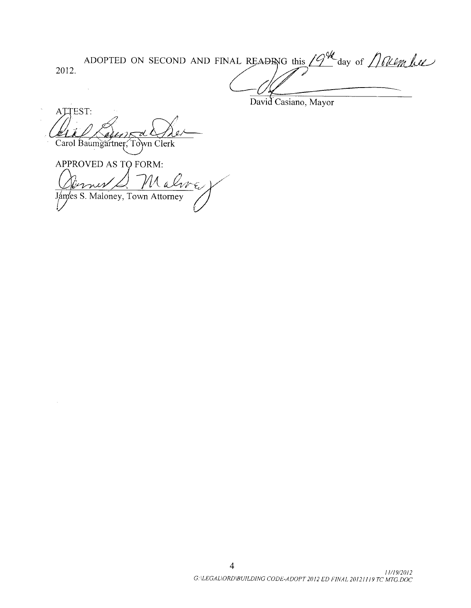ADOPTED ON SECOND AND FINAL READING this  $19^{\frac{1}{10}}$  day of  $10$  lember 2012.

David Casiano, Mayor

ATTEST: Carol Baumgartner, Town Clerk

APPROVED AS TO FORM:  $\ell$  and  $\ell$ James S. Maloney, Town Attorney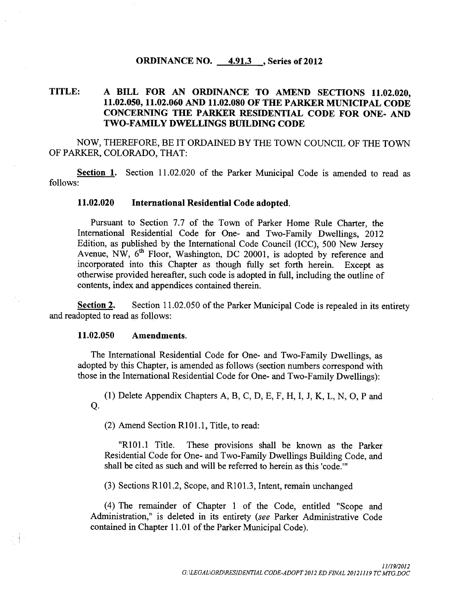#### ORDINANCE NO.  $4.91.3$ , Series of 2012

# TITLE: A BILL FOR AN ORDINANCE TO AMEND SECTIONS 11. 02.020, 11. 02.050, 11. 02.060 AND 11. 02.080 OF THE PARKER MUNICIPAL CODE CONCERNING THE PARKER RESIDENTIAL CODE FOR ONE- AND TWO-FAMILY DWELLINGS BUILDING CODE

NOW, THEREFORE, BE IT ORDAINED BY THE TOWN COUNCIL OF THE TOWN OF PARKER, COLORADO, THAT:

Section 1. Section 11.02.020 of the Parker Municipal Code is amended to read as follows:

#### 11. 02.020 International Residential Code adopted.

Pursuant to Section 7.7 of the Town of Parker Home Rule Charter, the International Residential Code for One- and Two-Family Dwellings, 2012 Edition, as published by the International Code Council (ICC), 500 New Jersey Avenue, NW,  $6<sup>th</sup>$  Floor, Washington, DC 20001, is adopted by reference and incorporated into this Chapter as though fully set forth herein. Except as otherwise provided hereafter, such code is adopted in full, including the outline of contents, index and appendices contained therein.

Section 2. Section 11.02.050 of the Parker Municipal Code is repealed in its entirety and readopted to read as follows:

#### 11. 02.050 Amendments.

The International Residential Code for One- and Two - Family Dwellings, as adopted by this Chapter, is amended as follows (section numbers correspond with those in the International Residential Code for One- and Two-Family Dwellings):

Q. 1) Delete Appendix Chapters A, B, C, D, E, F, H, I, J, K, L, N, 0, P and

 $(2)$  Amend Section R101.1, Title, to read:

"R101.1 Title. These provisions shall be known as the Parker Residential Code for One- and Two - Family Dwellings Building Code, and shall be cited as such and will be referred to herein as this 'code. '

 $(3)$  Sections R101.2, Scope, and R101.3, Intent, remain unchanged

4) The remainder of Chapter <sup>1</sup> of the Code, entitled " Scope and Administration," is deleted in its entirety ( see Parker Administrative Code contained in Chapter 11. 01 of the Parker Municipal Code).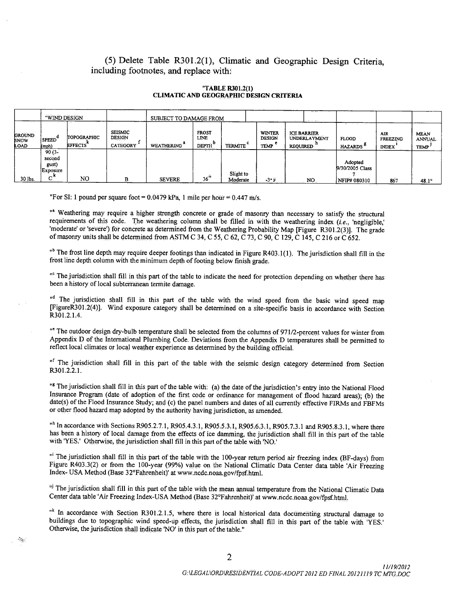## (5) Delete Table R301.2(1), Climatic and Geographic Design Criteria, including footnotes, and replace with:

# CLIMATIC AND GEOGRAPHIC DESIGN CRITERIA

"TABLE R301.2(1)

|                                             | "WIND DESIGN                            |                                      | SUBJECT TO DAMAGE FROM                                  |                   |                                      |                       |                                               |                                                       |                                      |                                               |                                                   |
|---------------------------------------------|-----------------------------------------|--------------------------------------|---------------------------------------------------------|-------------------|--------------------------------------|-----------------------|-----------------------------------------------|-------------------------------------------------------|--------------------------------------|-----------------------------------------------|---------------------------------------------------|
| <b>GROUND</b><br><b>SNOW</b><br><b>LOAD</b> | (SPEED <sup>d</sup><br>(mph)            | <b>TOPOGRAPHIC</b><br><b>EFFECTS</b> | <b>SEISMIC</b><br><b>DESIGN</b><br>.<br><b>CATEGORY</b> | <b>WEATHERING</b> | <b>FROST</b><br>LINE<br><b>DEPTH</b> | c<br><b>TERMITE</b>   | <b>WINTER</b><br><b>DESIGN</b><br><b>TEMP</b> | <b>ICE BARRIER</b><br>UNDERLAYMENT<br><b>REOUIRED</b> | <b>FLOOD</b><br>HAZARDS <sup>P</sup> | <b>AIR</b><br><b>FREEZING</b><br><b>INDEX</b> | <b>MEAN</b><br><b>ANNUAL</b><br>TEMP <sup>.</sup> |
|                                             | $90(3 -$<br>second<br>gust)<br>Exposure |                                      |                                                         |                   |                                      |                       |                                               |                                                       | Adopted<br>9/30/2005 Class           |                                               |                                                   |
| 30 lbs.                                     | c.                                      | NO                                   |                                                         | <b>SEVERE</b>     | 36"                                  | Slight to<br>Moderate | $-3°F$                                        | NO.                                                   | NFIP# 080310                         | 867                                           | 48.1°                                             |

For SI: 1 pound per square foot  $= 0.0479$  kPa, 1 mile per hour  $= 0.447$  m/s.

e Weathering may require a higher strength concrete or grade of masonry than necessary to satisfy the structural requirements of this code. The weathering column shall be filled in with the weathering index (*i.e.*, negligible, moderate or severe) for concrete as determined from the weathering Probability Map [Figure R301.2(3)]. The grade of masonry units shall be determined from ASTM C 34, C 55, C 62, C 73, C 90, C 129, C 145, C 216 or C 652.

The frost line depth may require deeper footings than indicated in Figure R403.1(1). The jurisdiction shall fill in the frost line depth column with the minimum depth of footing below finish grade. frost line depth column with the minimum depth of footing below finish grade.

The jurisdiction shall fill in this part of the table to indicate the need for protection depending on whether there has been <sup>a</sup> history of local subterranean termite damage. been <sup>a</sup> history of local subterranean termite damage.

The jurisdiction shall fill in this part of the table with the wind speed from the basic wind speed map<br>Figure 0.001.2001.2001 riguleRS01.2(4). While exposure category shall be determined on a site-specific basis in accordance with Section R301. 2. 1. 4. R301. 2. 1. 4.

The outdoor design dry-bulb temperature shall be selected from the columns of 971/2-percent values for winter from Appendix D of the International Plumbing Code. Deviations from the Appendix D temperatures shall be permitted to reflect local climates or local weather experience as determined by the building official. reflect local climates or local weather experience as determined by the building official.

<sup>1</sup> The jurisdiction shall fill in this part of the table with the seismic design category determined from Section R301. 2. 2. 1. R301. 2. 2. 1.

In the jurisdiction shall fill in this part of the table with: (a) the date of the jurisdiction's entry into the National Flood Insurance Program (date of adoption of the first code or ordinance for management of flood hazard areas); (b) the date(s) of the Flood Insurance Study; and (c) the panel numbers and dates of all currently effective FIRMs and FBFMs or other flood hazard map adopted by the authority having jurisdiction, as amended. or other flood hazard map adopted by the authority having jurisdiction, as amended.

In accordance with Sections R905.2.7.1, R905.4.3.1, R905.5.3.1, R905.6.3.1, R905.7.3.1 and R905.8.3.1, where there has been a history of local damage from the effects of ice damming, the jurisdiction shall fill in this part of the table with 'YES.' Otherwise, the jurisdiction shall fill in this part of the table with 'NO.

The jurisdiction shall fill in this part of the table with the 100-year return period air freezing index (BF-days) from Figure R403.3(2) or from the 100-year (99%) value on the National Climatic Data Center data table 'Air Freezing Index- USA Method ( Base 32 ° Fahrenheit)' at www. ncdc. noaa. gov / fpsf. html. Index- USA Method ( Base 32 ° Fahrenheit)' at www. ncdc. noaa. gov / fpsf. html.

The jurisdiction shall fill in this part of the table with the mean annual temperature from the National Climatic Data Center data table 'Air Freezing Index-USA Method (Base 32°Fahrenheit)' at www.ncdc.noaa.gov/fpsf.html.

In accordance with Section R301.2.1.5, where there is local historical data documenting structural damage to buildings due to topographic wind speed-up effects, the jurisdiction shall fill in this part of the table with 'YES. Otherwise, the jurisdiction shall indicate ' NO' in this part of the table." Otherwise, the jurisdiction shall indicate ' NO' in this part of the table."

 $\mathcal{L}_{\mathcal{M}}$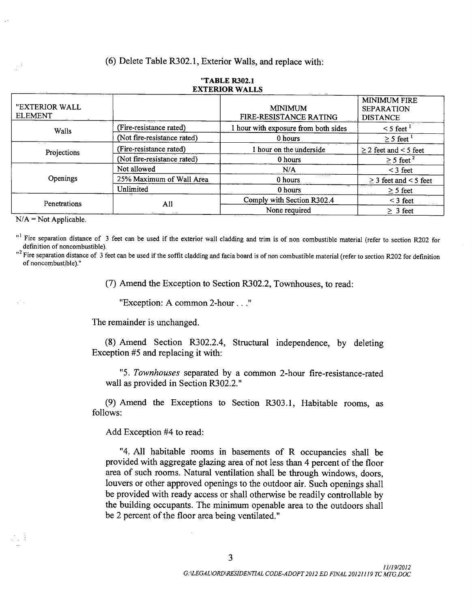## 6) Delete Table R302. 1, Exterior Walls, and replace with:

| "EXTERIOR WALL |                             | <b>MINIMUM</b>                         | <b>MINIMUM FIRE</b><br><b>SEPARATION</b> |
|----------------|-----------------------------|----------------------------------------|------------------------------------------|
| <b>ELEMENT</b> |                             | FIRE-RESISTANCE RATING                 | <b>DISTANCE</b>                          |
| Walls          | (Fire-resistance rated)     | hour with exposure from both sides     | $\leq$ 5 feet $^1$                       |
|                | (Not fire-resistance rated) | 0 hours                                | $\geq$ 5 feet $^1$                       |
| Projections    | (Fire-resistance rated)     | 1 hour on the underside                | $\geq$ 2 feet and < 5 feet               |
|                | (Not fire-resistance rated) | 0 hours                                | $\geq$ 5 feet <sup>2</sup>               |
|                | Not allowed                 | N/A                                    | $\leq$ 3 feet                            |
| Openings       | 25% Maximum of Wall Area    | 0 hours                                | $\geq$ 3 feet and < 5 feet               |
|                | Unlimited                   | 0 hours                                | $\geq$ 5 feet                            |
| Penetrations   | All                         | Comply with Section R302.4             | $<$ 3 feet                               |
|                |                             | None required<br><b>Second Control</b> | $\geq$ 3 feet                            |

#### "TABLE R302.1 EXTERIOR WALLS

 $N/A = Not Applicable.$ 

<sup>11</sup> Fire separation distance of 3 feet can be used if the exterior wall cladding and trim is of non combustible material (refer to section R202 for definition of noncombustible).

 $12$  Fire separation distance of 3 feet can be used if the soffit cladding and facia board is of non combustible material (refer to section R202 for definition of noncombustible)."

7) Amend the Exception to Section R302.2, Townhouses, to read:

Exception: A common 2 -hour ..."

The remainder is unchanged.

8) Amend Section R302.2.4, Structural independence, by deleting Exception #5 and replacing it with:

"5. Townhouses separated by a common 2-hour fire-resistance-rated wall as provided in Section R302.2."

9) Amend the Exceptions to Section R303. 1, Habitable rooms, as follows:

Add Exception #4 to read:

4. All habitable rooms in basements of R occupancies shall be provided with aggregate glazing area of not less than 4 percent of the floor area of such rooms. Natural ventilation shall be through windows, doors, louvers or other approved openings to the outdoor air. Such openings shall be provided with ready access or shall otherwise be readily controllable by the building occupants. The minimum openable area to the outdoors shall be <sup>2</sup> percent of the floor area being ventilated."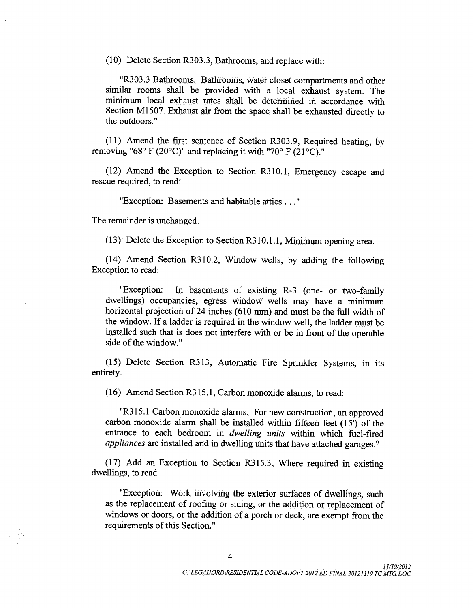10) Delete Section R303. 3, Bathrooms, and replace with:

"R303.3 Bathrooms. Bathrooms, water closet compartments and other similar rooms shall be provided with <sup>a</sup> local exhaust system. The minimum local exhaust rates shall be determined in accordance with Section M1507. Exhaust air from the space shall be exhausted directly to the outdoors."

11) Amend the first sentence of Section R303. 9, Required heating, by removing "68° F (20°C)" and replacing it with "70° F (21°C)."

12) Amend the Exception to Section R310. 1, Emergency escape and rescue required, to read:

Exception: Basements and habitable attics ..."

The remainder is unchanged.

13) Delete the Exception to Section R310. 1. 1, Minimum opening area.

14) Amend Section R310.2, Window wells, by adding the following Exception to read:

"Exception: In basements of existing R-3 (one- or two-family dwellings) occupancies, egress window wells may have <sup>a</sup> minimum horizontal projection of 24 inches (610 mm) and must be the full width of the window. If <sup>a</sup> ladder is required in the window well, the ladder must be installed such that is does not interfere with or be in front of the operable side of the window."

15) Delete Section R313, Automatic Fire Sprinkler Systems, in its entirety.

16) Amend Section R315. 1, Carbon monoxide alarms, to read:

"R315.1 Carbon monoxide alarms. For new construction, an approved carbon monoxide alarm shall be installed within fifteen feet (15') of the entrance to each bedroom in *dwelling units* within which fuel-fired appliances are installed and in dwelling units that have attached garages."

17) Add an Exception to Section R315.3, Where required in existing dwellings, to read

Exception: Work involving the exterior surfaces of dwellings, such as the replacement of roofing or siding, or the addition or replacement of windows or doors, or the addition of <sup>a</sup> porch or deck, are exempt from the requirements of this Section."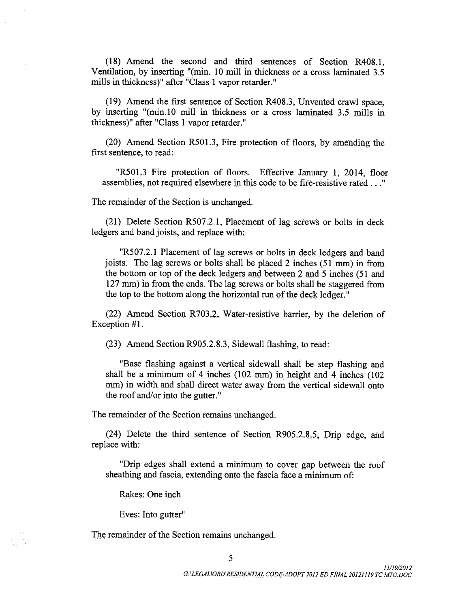18) Amend the second and third sentences of Section R408. 1, Ventilation, by inserting "(min. 10 mill in thickness or a cross laminated 3.5) mills in thickness)" after "Class 1 vapor retarder."

19) Amend the first sentence of Section R408. 3, Unvented crawl space, by inserting "(min.10 mill in thickness or a cross laminated 3.5 mills in thickness)" after "Class 1 vapor retarder."

(20) Amend Section R501.3, Fire protection of floors, by amending the first sentence, to read:

"R501.3 Fire protection of floors. Effective January 1, 2014, floor assemblies, not required elsewhere in this code to be fire - resistive rated ..."

The remainder of the Section is unchanged.

21) Delete Section R507.2. 1, Placement of lag screws or bolts in deck ledgers and band joists, and replace with:

R507.2. <sup>1</sup> Placement of lag screws or bolts in deck ledgers and band joists. The lag screws or bolts shall be placed  $2$  inches (51 mm) in from the bottom or top of the deck ledgers and between 2 and <sup>5</sup> inches ( <sup>51</sup> and 127 mm) in from the ends. The lag screws or bolts shall be staggered from the top to the bottom along the horizontal run of the deck ledger."

 $(22)$  Amend Section R703.2, Water-resistive barrier, by the deletion of Exception #1.

23) Amend Section R905. 2. 8. 3, Sidewall flashing, to read:

Base flashing against a vertical sidewall shall be step flashing and shall be <sup>a</sup> minimum of 4 inches ( 102 mm) in height and 4 inches ( 102 mm) in width and shall direct water away from the vertical sidewall onto the roof and/or into the gutter."

The remainder of the Section remains unchanged.

(24) Delete the third sentence of Section R905.2.8.5, Drip edge, and replace with:

Drip edges shall extend a minimum to cover gap between the roof sheathing and fascia, extending onto the fascia face a minimum of:

Rakes: One inch

Eves: Into gutter"

The remainder of the Section remains unchanged.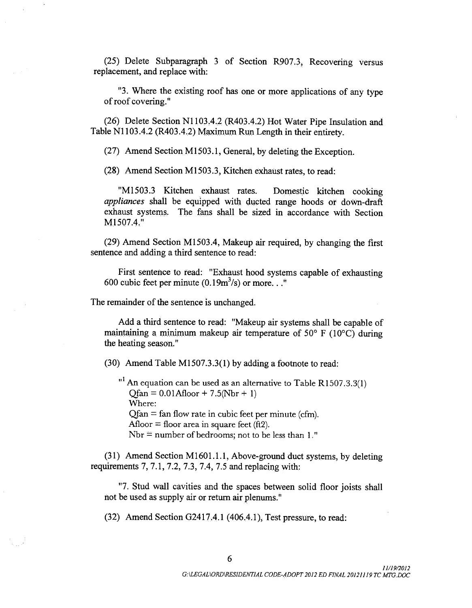(25) Delete Subparagraph 3 of Section R907.3, Recovering versus replacement, and replace with:

3. Where the existing roof has one or more applications of any type of roof covering."

26) Delete Section N1103.4.2 ( R403. 4.2) Hot Water Pipe Insulation and Table N1103.4.2 (R403.4.2) Maximum Run Length in their entirety.

27) Amend Section M1503. 1, General, by deleting the Exception.

28) Amend Section M1503. 3, Kitchen exhaust rates, to read:

M1503. <sup>3</sup> Kitchen exhaust rates. Domestic kitchen cooking appliances shall be equipped with ducted range hoods or down -draft exhaust systems. The fans shall be sized in accordance with Section M1507.4."

29) Amend Section M1503.4, Makeup air required, by changing the first sentence and adding a third sentence to read:

First sentence to read: "Exhaust hood systems capable of exhausting 600 cubic feet per minute  $(0.19m^3/s)$  or more...

The remainder of the sentence is unchanged.

Add <sup>a</sup> third sentence to read: " Makeup air systems shall be capable of maintaining a minimum makeup air temperature of  $50^{\circ}$  F (10 $^{\circ}$ C) during the heating season."

30) Amend Table M1507.3. 3( 1) by adding <sup>a</sup> footnote to read:

 $^1$  An equation can be used as an alternative to Table R1507.3.3(1)  $Qfan = 0.01Afloor + 7.5(Nbr + 1)$ Where:  $Qfan = fan flow rate in cubic feet per minute (cfm).$ Afloor  $=$  floor area in square feet (ft2). Nbr  $=$  number of bedrooms; not to be less than  $1$ ."

(31) Amend Section M1601.1.1, Above-ground duct systems, by deleting requirements  $7, 7.1, 7.2, 7.3, 7.4, 7.5$  and replacing with:

7. Stud wall cavities and the spaces between solid floor joists shall not be used as supply air or return air plenums."

32) Amend Section G2417.4. 1 ( 406.4. 1), Test pressure, to read: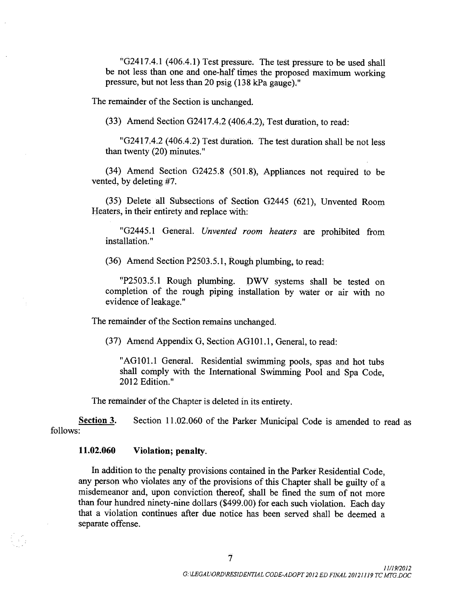"G2417.4.1 (406.4.1) Test pressure. The test pressure to be used shall be not less than one and one -half times the proposed maximum working pressure, but not less than 20 psig ( 138 kPa gauge)."

The remainder of the Section is unchanged.

33) Amend Section G2417.4.2 ( 406.4.2), Test duration, to read:

"G2417.4.2 (406.4.2) Test duration. The test duration shall be not less than twenty (20) minutes."

(34) Amend Section G2425.8 (501.8), Appliances not required to be vented, by deleting #7.

35) Delete all Subsections of Section G2445 ( 621), Unvented Room Heaters, in their entirety and replace with:

"G2445.1 General. Unvented room heaters are prohibited from installation."

36) Amend Section P2503. 5. 1, Rough plumbing, to read:

P2503. 5. <sup>1</sup> Rough plumbing. DWV systems shall be tested on completion of the rough piping installation by water or air with no evidence of leakage."

The remainder of the Section remains unchanged.

37) Amend Appendix G, Section AG101. 1, General, to read:

"AG101.1 General. Residential swimming pools, spas and hot tubs shall comply with the International Swimming Pool and Spa Code, 2012 Edition."

The remainder of the Chapter is deleted in its entirety.

Section 3. Section 11.02.060 of the Parker Municipal Code is amended to read as follows:

### 11. 02.060 Violation; penalty.

In addition to the penalty provisions contained in the Parker Residential Code, any person who violates any of the provisions of this Chapter shall be guilty of <sup>a</sup> misdemeanor and, upon conviction thereof, shall be fined the sum of not more than four hundred ninety -nine dollars (\$499. 00) for each such violation. Each day that a violation continues after due notice has been served shall be deemed a separate offense.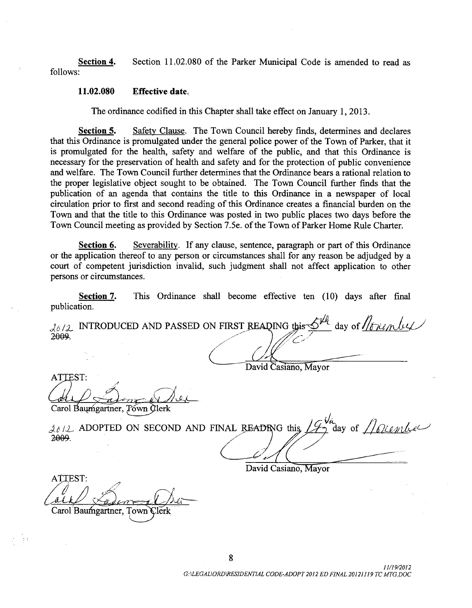Section 4. Section 11.02.080 of the Parker Municipal Code is amended to read as follows:

#### 11. 02.080 Effective date.

The ordinance codified in this Chapter shall take effect on January 1, 2013.

Section 5. Safety Clause. The Town Council hereby finds, determines and declares that this Ordinance is promulgated under the general police power of the Town of Parker, that it is promulgated for the health, safety and welfare of the public, and that this Ordinance is necessary for the preservation of health and safety and for the protection of public convenience and welfare. The Town Council further determines that the Ordinance bears a rational relation to the proper legislative object sought to be obtained. The Town Council further finds that the publication of an agenda that contains the title to this Ordinance in a newspaper of local circulation prior to first and second reading of this Ordinance creates <sup>a</sup> financial burden on the Town and that the title to this Ordinance was posted in two public places two days before the Town Council meeting as provided by Section 7.5e. of the Town of Parker Home Rule Charter.

Section 6. Severability. If any clause, sentence, paragraph or part of this Ordinance or the application thereof to any person or circumstances shall for any reason be adjudged by a court of competent jurisdiction invalid, such judgment shall not affect application to other persons or circumstances.

Section 7. This Ordinance shall become effective ten (10) days after final publication.

 $d_{\theta}/2$  INTRODUCED AND PASSED ON FIRST READING this  $\mathcal{D}^{PC}$  day of  $\sqrt{d \mu}$  and  $\theta$  $\int$  day of *littlem* by 2<del>009</del>.

David Casiano, Mayor

ATTEST:  $\overline{\phantom{0}}$ 

Carol Baumgartner, Town Clerk

Tournher  $\lambda_0/2$  ADOPTED ON SECOND AND FINAL READING this  $1/4\gamma$  day of 2009.

David Casiano, Mayor

ATTEST: Carol Baumgartner, Town Clerk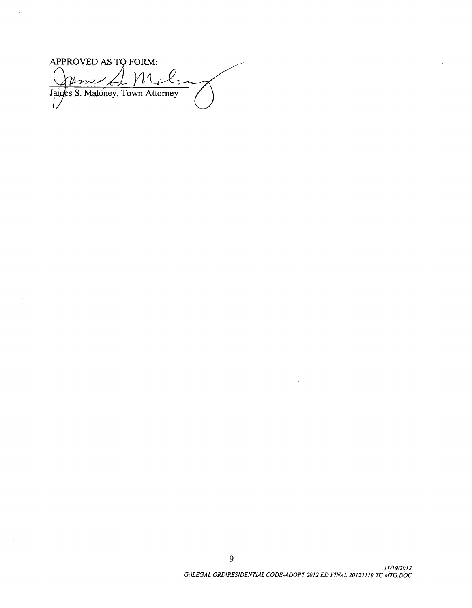APPROVED AS TO FORM: ilu Jime James S. Maloney, Town Attorney

 $\mathcal{L}$ 

9

 $\sim$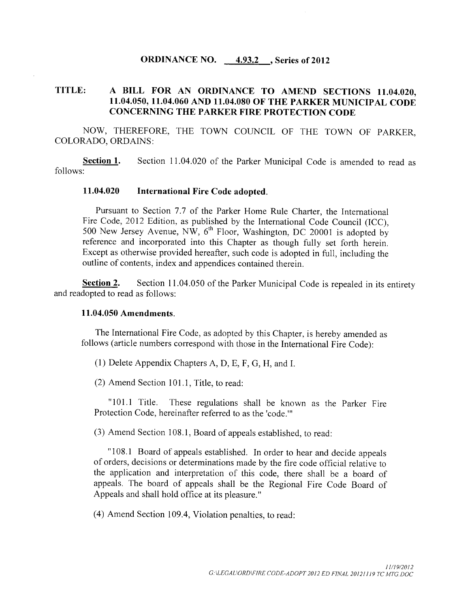# **ORDINANCE NO.** 4.93.2 , Series of 2012

# TITLE: A BILL FOR AN ORDINANCE TO AMEND SECTIONS 11. 04.020, 11. 04.050, 11. 04.060 AND 11. 04.080 OF THE PARKER MUNICIPAL CODE CONCERNING THE PARKER FIRE PROTECTION CODE

NOW, THEREFORE, THE TOWN COUNCIL OF THE TOWN OF PARKER, COLORADO, ORDAINS:

Section 1. Section 11.04.020 of the Parker Municipal Code is amended to read as follows:

#### 11. 04.020 International Fire Code adopted.

Pursuant to Section 7.7 of the Parker Home Rule Charter, the International Fire Code, 2012 Edition, as published by the International Code Council (ICC), 500 New Jersey Avenue, NW,  $6^{th}$  Floor, Washington, DC 20001 is adopted by reference and incorporated into this Chapter as though fully set forth herein. Except as otherwise provided hereafter, such code is adopted in full, including the outline of contents, index and appendices contained therein.

Section 2. Section 11.04.050 of the Parker Municipal Code is repealed in its entirety and readopted to read as follows:

#### 11. 04.050 Amendments.

The International Fire Code, as adopted by this Chapter, is hereby amended as follows (article numbers correspond with those in the International Fire Code):

1) Delete Appendix Chapters A, D, E, F, G, H, and I.

 $(2)$  Amend Section 101.1, Title, to read:

"101.1 Title. These regulations shall be known as the Parker Fire Protection Code, hereinafter referred to as the 'code."

3) Amend Section 108. 1, Board of appeals established, to read:

"108.1 Board of appeals established. In order to hear and decide appeals of orders, decisions or determinations made by the fire code official relative to the application and interpretation of this code, there shall be <sup>a</sup> board of appeals. The board of appeals shall be the Regional Fire Code Board of Appeals and shall hold office at its pleasure."

4) Amend Section 109.4, Violation penalties, to read: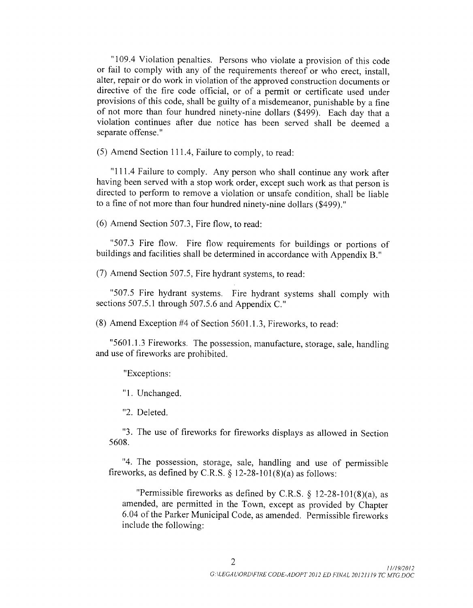"109.4 Violation penalties. Persons who violate a provision of this code or fail to comply with any of the requirements thereof or who erect, install, alter, repair or do work in violation of the approved construction documents or directive of the fire code official, or of <sup>a</sup> permit or certificate used under provisions of this code, shall be guilty of <sup>a</sup> misdemeanor, punishable by <sup>a</sup> fine of not more than four hundred ninety-nine dollars (\$499). Each day that a violation continues after due notice has been served shall be deemed a separate offense."

5) Amend Section 111. 4, Failure to comply, to read:

"111.4 Failure to comply. Any person who shall continue any work after having been served with a stop work order, except such work as that person is directed to perform to remove a violation or unsafe condition, shall be liable to <sup>a</sup> fine of not more than four hundred ninety -nine dollars (\$499)."

 $(6)$  Amend Section 507.3, Fire flow, to read:

507.3 Fire flow. Fire flow requirements for buildings or portions of buildings and facilities shall be determined in accordance with Appendix B."

 $(7)$  Amend Section 507.5, Fire hydrant systems, to read:

"507.5 Fire hydrant systems. Fire hydrant systems shall comply with sections 507.5.1 through 507.5.6 and Appendix C."

8) Amend Exception #4 of Section 5601. 1. 3, Fireworks, to read:

"5601.1.3 Fireworks. The possession, manufacture, storage, sale, handling and use of fireworks are prohibited.

Exceptions:

1. Unchanged.

2. Deleted.

3. The use of fireworks for fireworks displays as allowed in Section 5608.

4. The possession, storage, sale, handling and use of permissible fireworks, as defined by C.R.S. § 12-28-101(8)(a) as follows:

"Permissible fireworks as defined by C.R.S.  $\S$  12-28-101(8)(a), as amended, are permitted in the Town, except as provided by Chapter 6.04 of the Parker Municipal Code, as amended. Permissible fireworks include the following: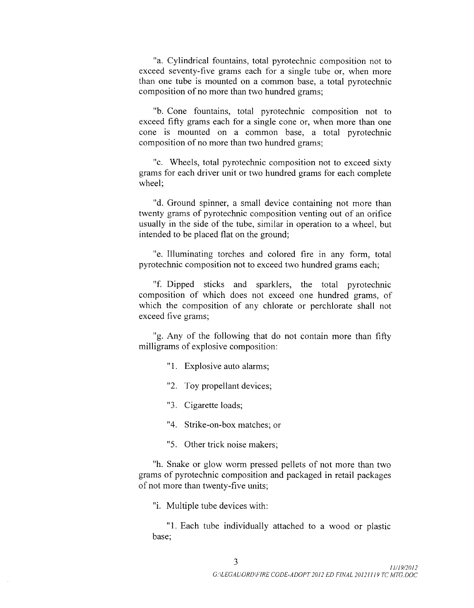a. Cylindrical fountains, total pyrotechnic composition not to exceed seventy-five grams each for a single tube or, when more than one tube is mounted on a common base, a total pyrotechnic composition of no more than two hundred grams;

b. Cone fountains, total pyrotechnic composition not to exceed fifty grams each for a single cone or, when more than one cone is mounted on a common base, a total pyrotechnic composition of no more than two hundred grams;

"c. Wheels, total pyrotechnic composition not to exceed sixty grams for each driver unit or two hundred grams for each complete wheel;

"d. Ground spinner, a small device containing not more than twenty grams of pyrotechnic composition venting out of an orifice usually in the side of the tube, similar in operation to a wheel, but intended to be placed flat on the ground;

"e. Illuminating torches and colored fire in any form, total pyrotechnic composition not to exceed two hundred grams each;

f. Dipped sticks and sparklers, the total pyrotechnic composition of which does not exceed one hundred grams, of which the composition of any chlorate or perchlorate shall not exceed five grams;

g. Any of the following that do not contain more than fifty milligrams of explosive composition:

"1. Explosive auto alarms;

2. Toy propellant devices;

3. Cigarette loads;

4. Strike -on -box matches; or

5. Other trick noise makers;

h. Snake or glow worm pressed pellets of not more than two grams of pyrotechnic composition and packaged in retail packages of not more than twenty -five units;

"i. Multiple tube devices with:

1. Each tube individually attached to a wood or plastic base;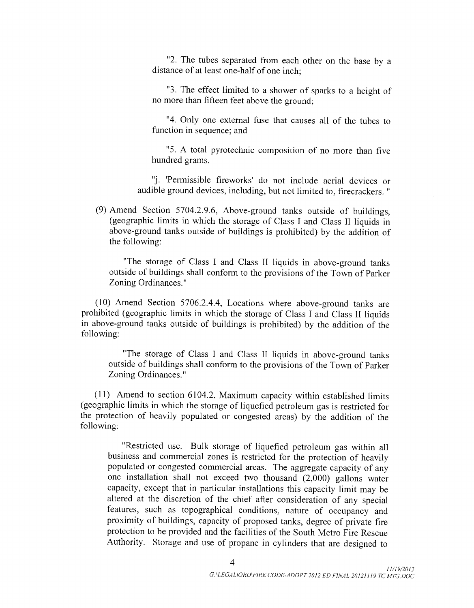"2. The tubes separated from each other on the base by a distance of at least one -half of one inch;

3. The effect limited to <sup>a</sup> shower of sparks to <sup>a</sup> height of no more than fifteen feet above the ground;

4. Only one external fuse that causes all of the tubes to function in sequence; and

5. A total pyrotechnic composition of no more than five hundred grams.

"j. 'Permissible fireworks' do not include aerial devices or audible ground devices, including, but not limited to, firecrackers. "

(9) Amend Section  $5704.2.9.6$ , Above-ground tanks outside of buildings, geographic limits in which the storage of Class I and Class II liquids in above-ground tanks outside of buildings is prohibited) by the addition of the following:

"The storage of Class I and Class II liquids in above-ground tanks outside of buildings shall conform to the provisions of the Town of Parker Zoning Ordinances."

 $(10)$  Amend Section 5706.2.4.4, Locations where above-ground tanks are prohibited ( geographic limits in which the storage of Class I and Class II liquids in above-ground tanks outside of buildings is prohibited) by the addition of the following:

"The storage of Class I and Class II liquids in above-ground tanks outside of buildings shall conform to the provisions of the Town of Parker Zoning Ordinances."

 $(11)$  Amend to section 6104.2, Maximum capacity within established limits geographic limits in which the storage of liquefied petroleum gas is restricted for the protection of heavily populated or congested areas) by the addition of the following:

Restricted use. Bulk storage of liquefied petroleum gas within all business and commercial zones is restricted for the protection of heavily populated or congested commercial areas. The aggregate capacity of any one installation shall not exceed two thousand  $(2,000)$  gallons water capacity, except that in particular installations this capacity limit may be altered at the discretion of the chief after consideration of any special features, such as topographical conditions, nature of occupancy and proximity of buildings, capacity of proposed tanks, degree of private fire protection to be provided and the facilities of the South Metro Fire Rescue Authority. Storage and use of propane in cylinders that are designed to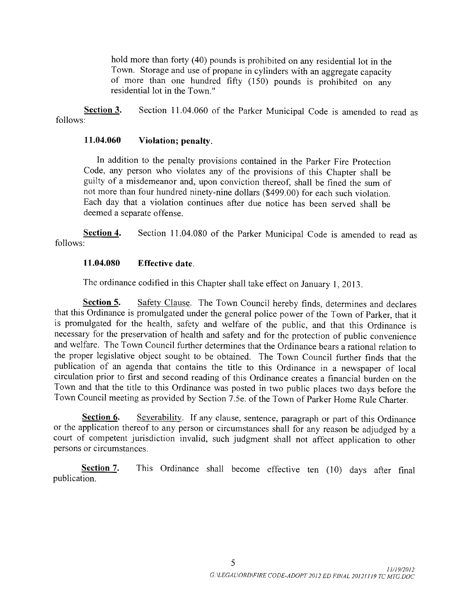hold more than forty (40) pounds is prohibited on any residential lot in the Town. Storage and use of propane in cylinders with an aggregate capacity of more than one hundred fifty  $(150)$  pounds is prohibited on any residential lot in the Town."

Section 3. Section 11.04.060 of the Parker Municipal Code is amended to read as follows:

## 11. 04.060 Violation; penalty.

In addition to the penalty provisions contained in the Parker Fire Protection Code, any person who violates any of the provisions of this Chapter shall be guilty of <sup>a</sup> misdemeanor and, upon conviction thereof, shall be fined the sum of not more than four hundred ninety -nine dollars (\$ 499.00) for each such violation. Each day that a violation continues after due notice has been served shall be deemed a separate offense.

Section 4. Section 11.04.080 of the Parker Municipal Code is amended to read as follows:

# 11. 04.080 Effective date.

The ordinance codified in this Chapter shall take effect on January 1, 2013.

Section 5. Safety Clause. The Town Council hereby finds, determines and declares that this Ordinance is promulgated under the general police power of the Town of Parker, that it is promulgated for the health, safety and welfare of the public, and that this Ordinance is necessary for the preservation of health and safety and for the protection of public convenience and welfare. The Town Council further determines that the Ordinance bears a rational relation to the proper legislative object sought to be obtained. The Town Council further finds that the publication of an agenda that contains the title to this Ordinance in <sup>a</sup> newspaper of local circulation prior to first and second reading of this Ordinance creates a financial burden on the Town and that the title to this Ordinance was posted in two public places two days before the Town Council meeting as provided by Section 7. 5e. of the Town of Parker Home Rule Charter.

Section 6. Severability. If any clause, sentence, paragraph or part of this Ordinance or the application thereof to any person or circumstances shall for any reason be adjudged by <sup>a</sup> court of competent jurisdiction invalid, such judgment shall not affect application to other persons or circumstances.

Section 7. This Ordinance shall become effective ten (10) days after final publication.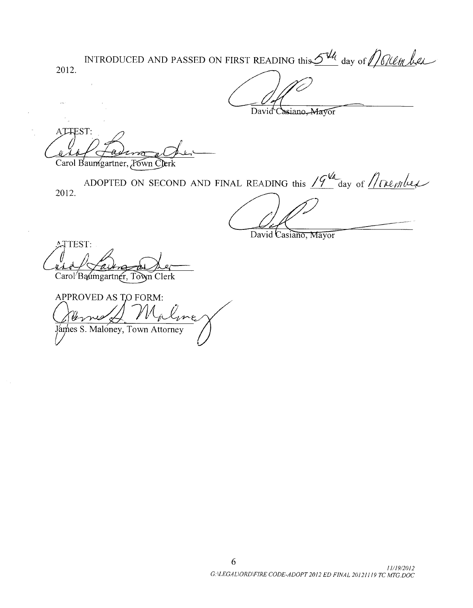INTRODUCED AND PASSED ON FIRST READING this  $\mathcal{Q}^{\mathcal{U}_\ell}$  day of 2012.

David Casiano, Mayor

ATTEST: Carol Baumgartner, *T*own Clerk

2012. ADOPTED ON SECOND AND FINAL READING this  $19^{14}$  day of  $Mn$ ember

David Casiano, Mayor

**ATTEST:** Carol Baumgartner, Town Clerk

APPROVED AS TO FORM: aline James S. Maloney, Town Attorney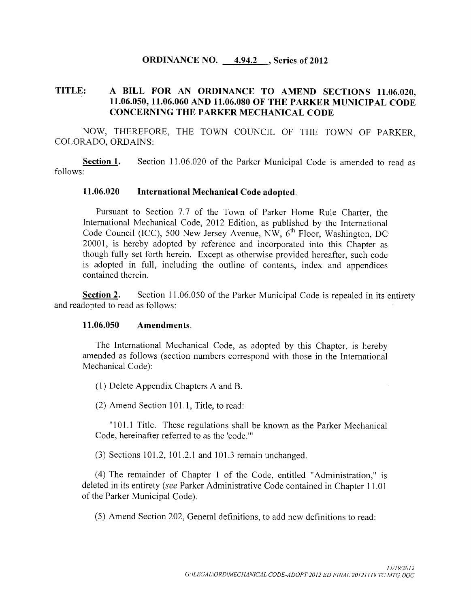# ORDINANCE NO. 4.94.2, Series of 2012

# TITLE: A BILL FOR AN ORDINANCE TO AMEND SECTIONS 11.06.020, 11. 06. 050, 11. 06.060 AND 11. 06.080 OF THE PARKER MUNICIPAL CODE CONCERNING THE PARKER MECHANICAL CODE

NOW, THEREFORE, THE TOWN COUNCIL OF THE TOWN OF PARKER, COLORADO, ORDAINS:

**Section 1.** Section 11.06.020 of the Parker Municipal Code is amended to read as follows:

## 11. 06.020 International Mechanical Code adopted.

Pursuant to Section 7.7 of the Town of Parker Home Rule Charter, the International Mechanical Code, 2012 Edition, as published by the International Code Council (ICC), 500 New Jersey Avenue, NW,  $6<sup>th</sup>$  Floor, Washington, DC 20001, is hereby adopted by reference and incorporated into this Chapter as though fully set forth herein. Except as otherwise provided hereafter, such code is adopted in full, including the outline of contents, index and appendices contained therein.

Section 2. Section 11.06.050 of the Parker Municipal Code is repealed in its entirety and readopted to read as follows:

## 11. 06. 050 Amendments.

The International Mechanical Code, as adopted by this Chapter, is hereby amended as follows ( section numbers correspond with those in the International Mechanical Code):

1) Delete Appendix Chapters A and B.

(2) Amend Section 101.1, Title, to read:

"101.1 Title. These regulations shall be known as the Parker Mechanical Code, hereinafter referred to as the 'code."

 $(3)$  Sections 101.2, 101.2.1 and 101.3 remain unchanged.

4) The remainder of Chapter <sup>1</sup> of the Code, entitled " Administration," is deleted in its entirety (see Parker Administrative Code contained in Chapter 11. 01 of the Parker Municipal Code).

5) Amend Section 202, General definitions, to add new definitions to read: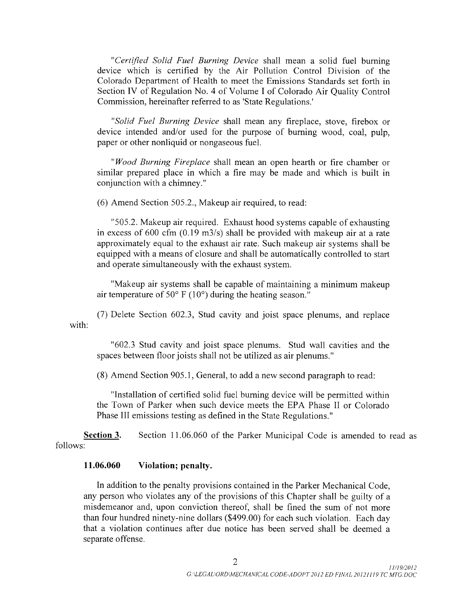Certified Solid Fuel Burning Device shall mean a solid fuel burning device which is certified by the Air Pollution Control Division of the Colorado Department of Health to meet the Emissions Standards set forth in Section IV of Regulation No. 4 of Volume I of Colorado Air Quality Control Commission, hereinafter referred to as ' State Regulations.'

Solid Fuel Burning Device shall mean any fireplace, stove, firebox or device intended and/or used for the purpose of burning wood, coal, pulp, paper or other nonliquid or nongaseous fuel.

*Wood Burning Fireplace* shall mean an open hearth or fire chamber or similar prepared place in which a fire may be made and which is built in conjunction with a chimney."

 $(6)$  Amend Section 505.2., Makeup air required, to read:

"505.2. Makeup air required. Exhaust hood systems capable of exhausting in excess of 600 cfm  $(0.19 \text{ m}^3/\text{s})$  shall be provided with makeup air at a rate approximately equal to the exhaust air rate. Such makeup air systems shall be equipped with <sup>a</sup> means of closure and shall be automatically controlled to start and operate simultaneously with the exhaust system.

Makeup air systems shall be capable of maintaining <sup>a</sup> minimum makeup air temperature of  $50^{\circ}$  F (10°) during the heating season."

with: 7) Delete Section 602. 3, Stud cavity and joist space plenums, and replace

602. <sup>3</sup> Stud cavity and joist space plenums. Stud wall cavities and the spaces between floor joists shall not be utilized as air plenums."

8) Amend Section 905. 1, General, to add a new second paragraph to read:

Installation of certified solid fuel burning device will be permitted within the Town of Parker when such device meets the EPA Phase II or Colorado Phase III emissions testing as defined in the State Regulations."

Section 3. Section 11.06.060 of the Parker Municipal Code is amended to read as follows:

# 11. 06.060 Violation; penalty.

In addition to the penalty provisions contained in the Parker Mechanical Code, any person who violates any of the provisions of this Chapter shall be guilty of <sup>a</sup> misdemeanor and, upon conviction thereof, shall be fined the sum of not more than four hundred ninety -nine dollars (\$ 499. 00) for each such violation. Each day that a violation continues after due notice has been served shall be deemed a separate offense.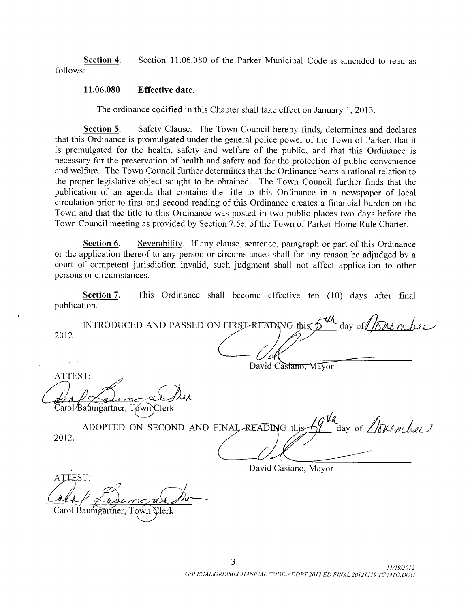Section 4. Section 11.06.080 of the Parker Municipal Code is amended to read as follows:

## 11. 06. 080 Effective date.

The ordinance codified in this Chapter shall take effect on January 1, 2013.

Section 5. Safety Clause. The Town Council hereby finds, determines and declares that this Ordinance is promulgated under the general police power of the Town of Parker, that it is promulgated for the health, safety and welfare of the public, and that this Ordinance is necessary for the preservation of health and safety and for the protection of public convenience and welfare. The Town Council further determines that the Ordinance bears a rational relation to the proper legislative object sought to be obtained. The Town Council further finds that the publication of an agenda that contains the title to this Ordinance in a newspaper of local circulation prior to first and second reading of this Ordinance creates <sup>a</sup> financial burden on the Town and that the title to this Ordinance was posted in two public places two days before the Town Council meeting as provided by Section 7. 5e. of the Town of Parker Home Rule Charter.

Section 6. Severability. If any clause, sentence, paragraph or part of this Ordinance or the application thereof to any person or circumstances shall for any reason be adjudged by a court of competent jurisdiction invalid, such judgment shall not affect application to other persons or circumstances.

Section 7. This Ordinance shall become effective ten (10) days after final publication.

INTRODUCED AND PASSED ON FIRST-READING this  $\gamma$ 2012.  $\frac{d}{dx}$  of  $\frac{1}{\sqrt{2}}$  or  $\frac{1}{x}$ 

David Castano, Mayor

ATTEST: Carol Baumgartner, Town Clerk

ADOPTED ON SECOND AND FINAL-READING this  $\frac{10^{4}a}{a}$  day of *November* 2012.

David Casiano, Mayor

ATTEST: Carol Baumgartner, Town Clerk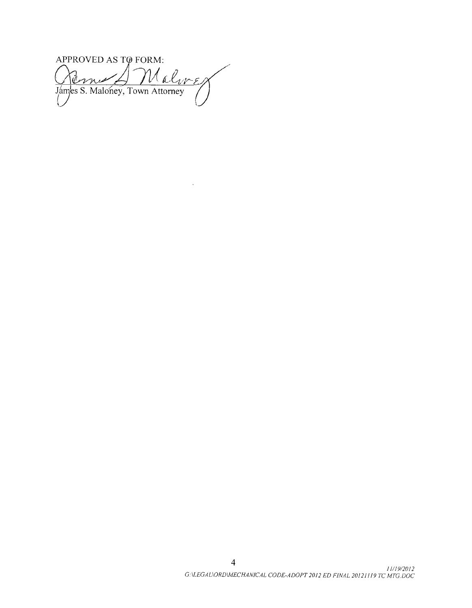APPROVED AS TØ FORM: Walwer annis Jámes S. Maloney, Town Attorney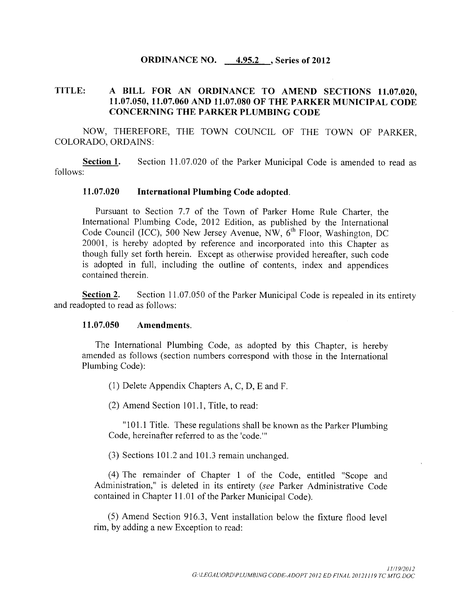## ORDINANCE NO. 4.95.2, Series of 2012

# TITLE: A BILL FOR AN ORDINANCE TO AMEND SECTIONS 11. 07.020, 11. 07.050, 11. 07.060 AND 11. 07.080 OF THE PARKER MUNICIPAL CODE CONCERNING THE PARKER PLUMBING CODE

NOW, THEREFORE, THE TOWN COUNCIL OF THE TOWN OF PARKER, COLORADO, ORDAINS:

**Section 1.** Section 11.07.020 of the Parker Municipal Code is amended to read as follows:

## 11. 07.020 International Plumbing Code adopted.

Pursuant to Section 7.7 of the Town of Parker Home Rule Charter, the International Plumbing Code, 2012 Edition, as published by the International Code Council (ICC), 500 New Jersey Avenue, NW, 6<sup>th</sup> Floor, Washington, DC 20001, is hereby adopted by reference and incorporated into this Chapter as though fully set forth herein. Except as otherwise provided hereafter, such code is adopted in full, including the outline of contents, index and appendices contained therein.

Section 2. Section 11.07.050 of the Parker Municipal Code is repealed in its entirety and readopted to read as follows:

#### 11.07.050 Amendments.

The International Plumbing Code, as adopted by this Chapter, is hereby amended as follows ( section numbers correspond with those in the International Plumbing Code):

1) Delete Appendix Chapters A, C, D, E and F.

 $(2)$  Amend Section 101.1, Title, to read:

"101.1 Title. These regulations shall be known as the Parker Plumbing Code, hereinafter referred to as the 'code."

 $(3)$  Sections 101.2 and 101.3 remain unchanged.

4) The remainder of Chapter <sup>1</sup> of the Code, entitled " Scope and Administration," is deleted in its entirety (see Parker Administrative Code contained in Chapter 11. <sup>01</sup> of the Parker Municipal Code).

5) Amend Section 916. 3, Vent installation below the fixture flood level rim, by adding a new Exception to read: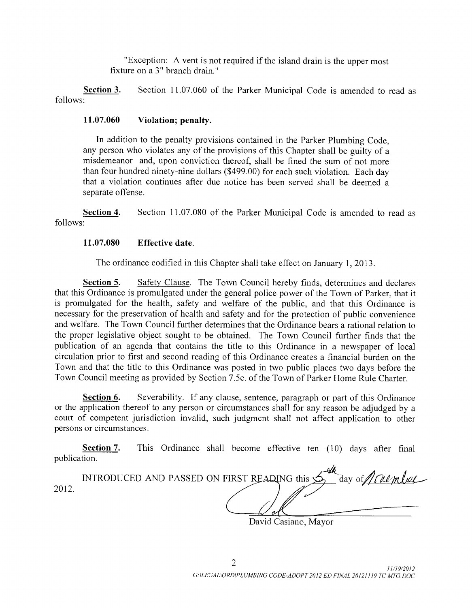Exception: A vent is not required if the island drain is the upper most fixture on a 3" branch drain."

Section 3. Section 11.07.060 of the Parker Municipal Code is amended to read as follows:

## 11.07.060 Violation; penalty.

In addition to the penalty provisions contained in the Parker Plumbing Code, any person who violates any of the provisions of this Chapter shall be guilty of <sup>a</sup> misdemeanor and, upon conviction thereof, shall be fined the sum of not more than four hundred ninety-nine dollars (\$499.00) for each such violation. Each day that a violation continues after due notice has been served shall be deemed a separate offense.

Section 4. Section 11.07.080 of the Parker Municipal Code is amended to read as follows:

## 11. 07.080 Effective date.

The ordinance codified in this Chapter shall take effect on January 1, 2013.

Section 5. Safety Clause. The Town Council hereby finds, determines and declares that this Ordinance is promulgated under the general police power of the Town of Parker, that it is promulgated for the health, safety and welfare of the public, and that this Ordinance is necessary for the preservation of health and safety and for the protection of public convenience and welfare. The Town Council further determines that the Ordinance bears a rational relation to the proper legislative object sought to be obtained. The Town Council further finds that the publication of an agenda that contains the title to this Ordinance in <sup>a</sup> newspaper of local circulation prior to first and second reading of this Ordinance creates <sup>a</sup> financial burden on the Town and that the title to this Ordinance was posted in two public places two days before the Town Council meeting as provided by Section 7. 5e. of the Town of Parker Home Rule Charter.

Section 6. Severability. If any clause, sentence, paragraph or part of this Ordinance or the application thereof to any person or circumstances shall for any reason be adjudged by a court of competent jurisdiction invalid, such judgment shall not affect application to other persons or circumstances.

Section 7. This Ordinance shall become effective ten (10) days after final publication.

|      | INTRODUCED AND PASSED ON FIRST READING this $\hat{\mathcal{D}}_1$<br>$day of / / / \ell \ell m l \ell$                                                                                                                                                                                                                             |
|------|------------------------------------------------------------------------------------------------------------------------------------------------------------------------------------------------------------------------------------------------------------------------------------------------------------------------------------|
| 2012 |                                                                                                                                                                                                                                                                                                                                    |
|      | $\mathbf{D}$ $\mathbf{D}$ $\mathbf{D}$ $\mathbf{D}$ $\mathbf{D}$ $\mathbf{D}$ $\mathbf{D}$ $\mathbf{D}$ $\mathbf{D}$ $\mathbf{D}$ $\mathbf{D}$ $\mathbf{D}$ $\mathbf{D}$ $\mathbf{D}$ $\mathbf{D}$ $\mathbf{D}$ $\mathbf{D}$ $\mathbf{D}$ $\mathbf{D}$ $\mathbf{D}$ $\mathbf{D}$ $\mathbf{D}$ $\mathbf{D}$ $\mathbf{D}$ $\mathbf{$ |

David Casiano, Mayor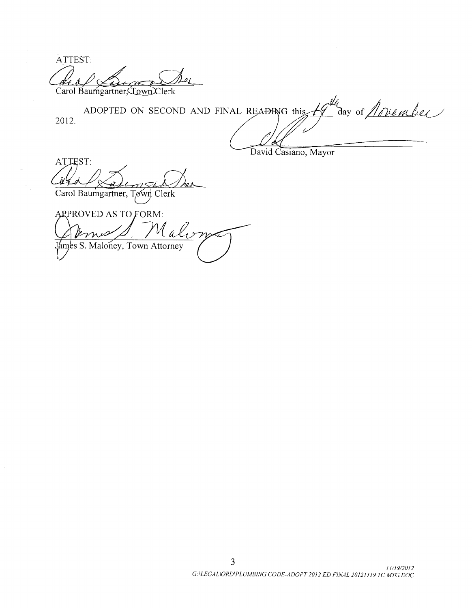ATTEST: olî Carol Baumgartner, *Cown* Clerk

ADOPTED ON SECOND AND FINAL READING this  $H^{\mu_{\ell}}$  day of *ADURLEL* 2012.  $\sim$ 

David Casiano, Mayor

ATTEST:  $1.77$ 

Carol Baumgartner, Town Clerk

ARPROVED AS TO FORM: Malon Jámes S. Maloney, Town Attorney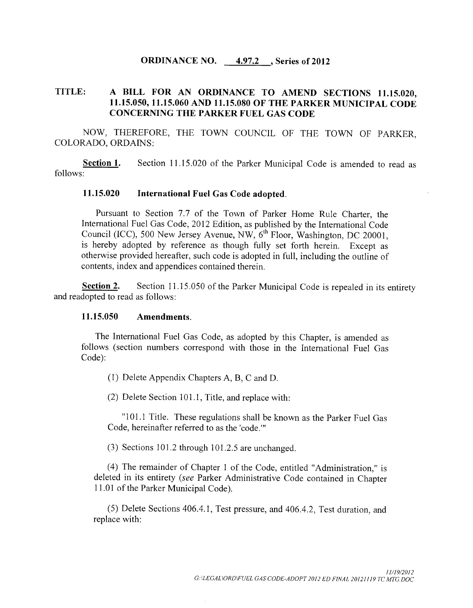## ORDINANCE NO.  $\underline{\qquad 4.97.2}$  , Series of 2012

# TITLE: A BILL FOR AN ORDINANCE TO AMEND SECTIONS 11.15.020, 11. 15. 050, 11. 15. 060 AND 11. 15. 080 OF THE PARKER MUNICIPAL CODE CONCERNING THE PARKER FUEL GAS CODE

NOW, THEREFORE, THE TOWN COUNCIL OF THE TOWN OF PARKER, COLORADO, ORDAINS:

Section 1. Section 11.15.020 of the Parker Municipal Code is amended to read as follows:

## 11. 15. 020 International Fuel Gas Code adopted.

Pursuant to Section 7.7 of the Town of Parker Home Rule Charter, the International Fuel Gas Code, 2012 Edition, as published by the International Code Council (ICC), 500 New Jersey Avenue, NW, 6<sup>th</sup> Floor, Washington, DC 20001, is hereby adopted by reference as though fully set forth herein. Except as otherwise provided hereafter, such code is adopted in full, including the outline of contents, index and appendices contained therein.

Section 2. Section 11.15.050 of the Parker Municipal Code is repealed in its entirety and readopted to read as follows:

## 11. 15. 050 Amendments.

The International Fuel Gas Code, as adopted by this Chapter, is amended as follows ( section numbers correspond with those in the International Fuel Gas Code):

1) Delete Appendix Chapters A, B, C and D.

(2) Delete Section 101.1, Title, and replace with:

"101.1 Title. These regulations shall be known as the Parker Fuel Gas Code, hereinafter referred to as the 'code.'"

 $(3)$  Sections 101.2 through 101.2.5 are unchanged.

4) The remainder of Chapter <sup>1</sup> of the Code, entitled " Administration," is deleted in its entirety ( see Parker Administrative Code contained in Chapter 11. <sup>01</sup> of the Parker Municipal Code).

5) Delete Sections 406.4. 1, Test pressure, and 406. 4. 2, Test duration, and replace with: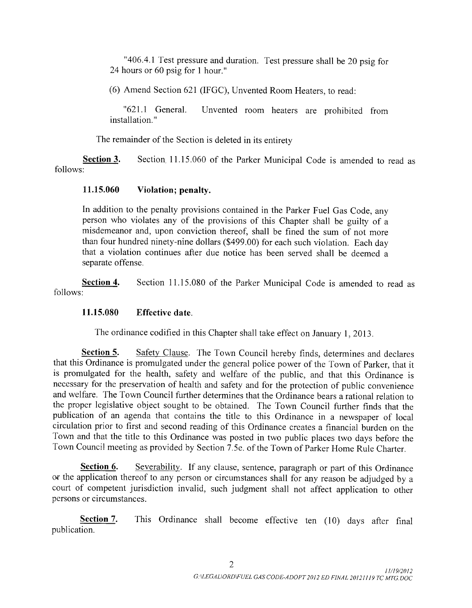"406.4.1 Test pressure and duration. Test pressure shall be 20 psig for 24 hours or 60 psig for <sup>1</sup> hour."

6) Amend Section 621 ( IFGC), Unvented Room Heaters, to read:

"621.1 General. Unvented room heaters are prohibited from installation."

The remainder of the Section is deleted in its entirety

Section 3. Section, 11.15.060 of the Parker Municipal Code is amended to read as follows:

# 11.15.060 Violation; penalty.

In addition to the penalty provisions contained in the Parker Fuel Gas Code, any person who violates any of the provisions of this Chapter shall be guilty of <sup>a</sup> misdemeanor and, upon conviction thereof, shall be fined the sum of not more than four hundred ninety-nine dollars (\$499.00) for each such violation. Each day that a violation continues after due notice has been served shall be deemed a separate offense.

Section 4. Section 11.15.080 of the Parker Municipal Code is amended to read as follows:

# 11. 15.080 Effective date.

The ordinance codified in this Chapter shall take effect on January 1, 2013.

Section 5. Safety Clause. The Town Council hereby finds, determines and declares that this Ordinance is promulgated under the general police power of the Town of Parker, that it is promulgated for the health, safety and welfare of the public, and that this Ordinance is necessary for the preservation of health and safety and for the protection of public convenience and welfare. The Town Council further determines that the Ordinance bears a rational relation to the proper legislative object sought to be obtained. The Town Council further finds that the publication of an agenda that contains the title to this Ordinance in <sup>a</sup> newspaper of local circulation prior to first and second reading of this Ordinance creates a financial burden on the Town and that the title to this Ordinance was posted in two public places two days before the Town Council meeting as provided by Section 7. 5e. of the Town of Parker Home Rule Charter.

Section 6. Severability. If any clause, sentence, paragraph or part of this Ordinance or the application thereof to any person or circumstances shall for any reason be adjudged by <sup>a</sup> court of competent jurisdiction invalid, such judgment shall not affect application to other persons or circumstances.

Section 7. This Ordinance shall become effective ten (10) days after final publication.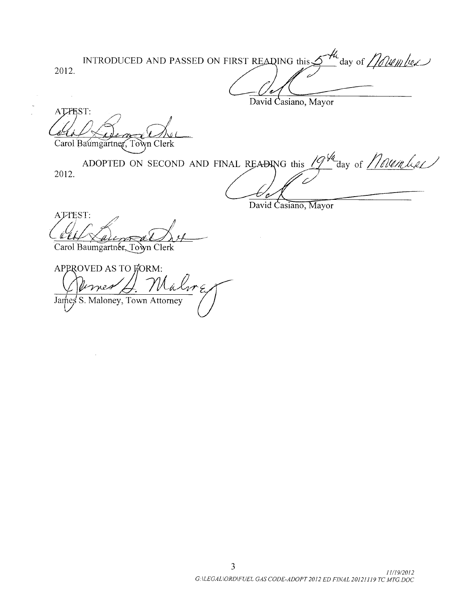INTRODUCED AND PASSED ON FIRST READING this  $\frac{H}{\sqrt{u}}$  day of  $\frac{1}{u}$   $\frac{d}{dx}$ 2012.

David Casiano, Mayor

ATTEST: Carol Baumgartner, Town Clerk

ADOPTED ON SECOND AND FINAL READING this 2012. day of *November* 

David Casiano, Mayor

ATTEST:

Carol Baumgartner, Town Clerk

APPROVED AS TO FORM: Máln  $71.74$ James S. Maloney, Town Attorney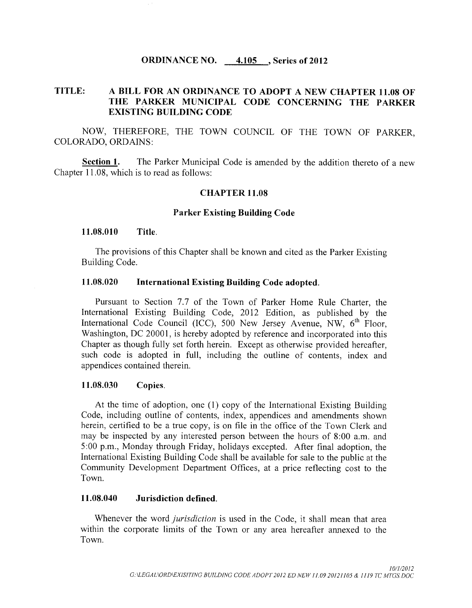# ORDINANCE NO. 4.105 , Series of 2012

# TITLE: A BILL FOR AN ORDINANCE TO ADOPT A NEW CHAPTER 11. <sup>08</sup> OF THE PARKER MUNICIPAL CODE CONCERNING THE PARKER EXISTING BUILDING CODE

NOW, THEREFORE, THE TOWN COUNCIL OF THE TOWN OF PARKER, COLORADO, ORDAINS:

**Section 1.** The Parker Municipal Code is amended by the addition thereto of a new Chapter 11. 08, which is to read as follows:

### CHAPTER 11. 08

## Parker Existing Building Code

#### 11.08.010 Title.

The provisions of this Chapter shall be known and cited as the Parker Existing Building Code.

## 11. 08.020 International Existing Building Code adopted.

Pursuant to Section 7.7 of the Town of Parker Home Rule Charter, the International Existing Building Code, 2012 Edition, as published by the International Code Council (ICC), 500 New Jersey Avenue, NW,  $6<sup>th</sup>$  Floor, Washington, DC 20001, is hereby adopted by reference and incorporated into this Chapter as though fully set forth herein. Except as otherwise provided hereafter, such code is adopted in full, including the outline of contents, index and appendices contained therein.

#### 11.08.030 Copies.

At the time of adoption, one ( 1) copy of the International Existing Building Code, including outline of contents, index, appendices and amendments shown herein, certified to be <sup>a</sup> true copy, is on file in the office of the Town Clerk and may be inspected by any interested person between the hours of 8:00 a.m. and 5: 00 p. m., Monday through Friday, holidays excepted. After final adoption, the International Existing Building Code shall be available for sale to the public at the Community Development Department Offices, at a price reflecting cost to the Town.

## 11. 08. 040 Jurisdiction defined.

Whenever the word *jurisdiction* is used in the Code, it shall mean that area within the corporate limits of the Town or any area hereafter annexed to the Town.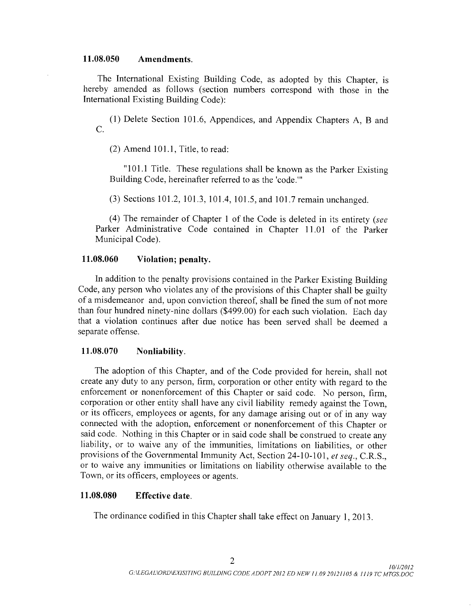## 11. 08.050 Amendments.

The International Existing Building Code, as adopted by this Chapter, is hereby amended as follows ( section numbers correspond with those in the International Existing Building Code):

1) Delete Section 101. 6, Appendices, and Appendix Chapters A, B and C.

 $(2)$  Amend 101.1, Title, to read:

"101.1 Title. These regulations shall be known as the Parker Existing Building Code, hereinafter referred to as the 'code.'"

(3) Sections 101.2, 101.3, 101.4, 101.5, and 101.7 remain unchanged.

4) The remainder of Chapter <sup>1</sup> of the Code is deleted in its entirety ( see Parker Administrative Code contained in Chapter 11.01 of the Parker Municipal Code).

## 11.08.060 Violation; penalty.

In addition to the penalty provisions contained in the Parker Existing Building Code, any person who violates any of the provisions of this Chapter shall be guilty of <sup>a</sup> misdemeanor and, upon conviction thereof, shall be fined the sum of not more than four hundred ninety-nine dollars (\$499.00) for each such violation. Each day that a violation continues after due notice has been served shall be deemed a separate offense.

## 11. 08.070 Nonliability.

The adoption of this Chapter, and of the Code provided for herein, shall not create any duty to any person, firm, corporation or other entity with regard to the enforcement or nonenforcement of this Chapter or said code. No person, firm, corporation or other entity shall have any civil liability remedy against the Town, or its officers, employees or agents, for any damage arising out or of in any way connected with the adoption, enforcement or nonenforcement of this Chapter or said code. Nothing in this Chapter or in said code shall be construed to create any liability, or to waive any of the immunities, limitations on liabilities, or other provisions of the Governmental Immunity Act, Section 24-10-101, et seq., C.R.S., or to waive any immunities or limitations on liability otherwise available to the Town, or its officers, employees or agents.

# 11. 08.080 Effective date.

The ordinance codified in this Chapter shall take effect on January 1, 2013.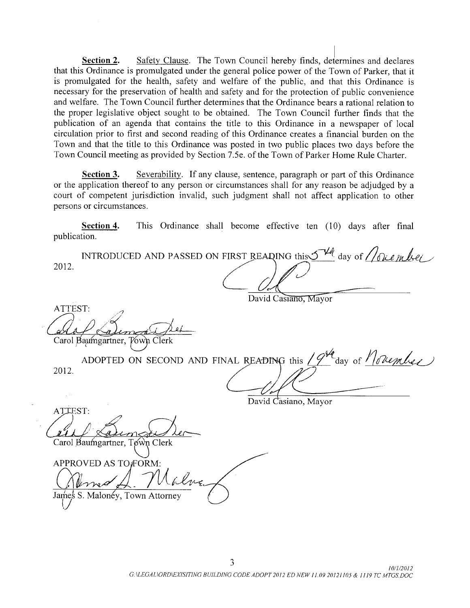Section 2. Safety Clause. The Town Council hereby finds, determines and declares that this Ordinance is promulgated under the general police power of the Town of Parker, that it is promulgated for the health, safety and welfare of the public, and that this Ordinance is necessary for the preservation of health and safety and for the protection of public convenience and welfare. The Town Council further determines that the Ordinance bears a rational relation to the proper legislative object sought to be obtained. The Town Council further finds that the publication of an agenda that contains the title to this Ordinance in <sup>a</sup> newspaper of local circulation prior to first and second reading of this Ordinance creates <sup>a</sup> financial burden on the Town and that the title to this Ordinance was posted in two public places two days before the Town Council meeting as provided by Section 7. 5e. of the Town of Parker Home Rule Charter.

Section 3. Severability. If any clause, sentence, paragraph or part of this Ordinance or the application thereof to any person or circumstances shall for any reason be adjudged by a court of competent jurisdiction invalid, such judgment shall not affect application to other persons or circumstances.

Section 4. This Ordinance shall become effective ten (10) days after final publication.

INTRODUCED AND PASSED ON FIRST READING this  $\mathcal{I}^{\mathcal{H}}$  day of  $\mathcal{N}$ 2012.

David Casiano, Mayor

ATTEST: Carol Baumgartner, Town Clerk

| 2012 |  | ADOPTED ON SECOND AND FINAL READING this / $9^{\mu}$ day of $10$ lember |
|------|--|-------------------------------------------------------------------------|
|      |  |                                                                         |
|      |  |                                                                         |
|      |  |                                                                         |

David Casiano, Mayor

ATTEST: Carol Baumgartner, Town Clerk

APPROVED AS TO FORM:

James S. Malonéy, Town Attorney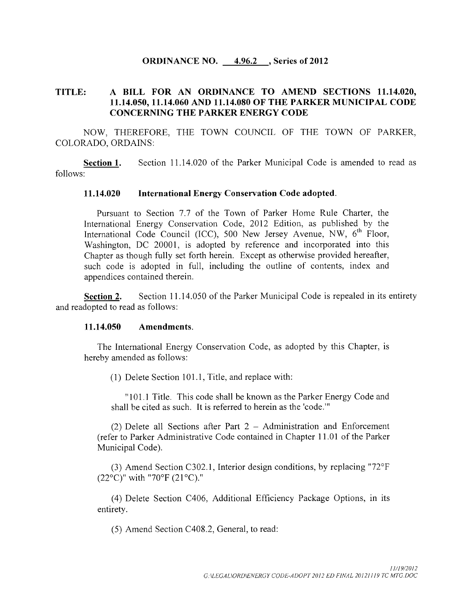## **ORDINANCE NO.** 4.96.2, Series of 2012

# TITLE: A BILL FOR AN ORDINANCE TO AMEND SECTIONS 11. 14.020, 11. 14.050, 11. 14. 060 AND 11. 14.080 OF THE PARKER MUNICIPAL CODE CONCERNING THE PARKER ENERGY CODE

NOW, THEREFORE, THE TOWN COUNCIL OF THE TOWN OF PARKER, COLORADO, ORDAINS:

Section 1. Section 11.14.020 of the Parker Municipal Code is amended to read as follows:

## 11. 14.020 International Energy Conservation Code adopted.

Pursuant to Section 7.7 of the Town of Parker Home Rule Charter, the International Energy Conservation Code, 2012 Edition, as published by the International Code Council (ICC), 500 New Jersey Avenue, NW, 6<sup>th</sup> Floor, Washington, DC 20001, is adopted by reference and incorporated into this Chapter as though fully set forth herein. Except as otherwise provided hereafter, such code is adopted in full, including the outline of contents, index and appendices contained therein.

Section 2. Section 11.14.050 of the Parker Municipal Code is repealed in its entirety and readopted to read as follows:

#### 11. 14. 050 Amendments.

The International Energy Conservation Code, as adopted by this Chapter, is hereby amended as follows:

 $(1)$  Delete Section 101.1, Title, and replace with:

"101.1 Title. This code shall be known as the Parker Energy Code and shall be cited as such. It is referred to herein as the 'code.'"

2) Delete all Sections after Part 2 — Administration and Enforcement refer to Parker Administrative Code contained in Chapter 11. <sup>01</sup> of the Parker Municipal Code).

(3) Amend Section C302.1, Interior design conditions, by replacing " $72^{\circ}F$  $(22^{\circ}$ C)" with "70°F  $(21^{\circ}$ C)."

4) Delete Section C406, Additional Efficiency Package Options, in its entirety.

5) Amend Section C408. 2, General, to read: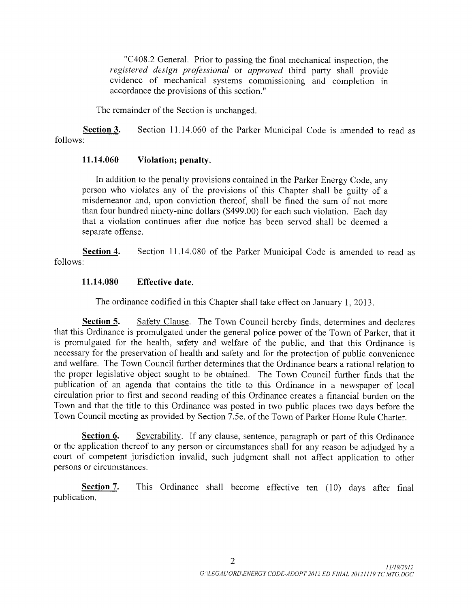"C408.2 General. Prior to passing the final mechanical inspection, the registered design professional or approved third party shall provide evidence of mechanical systems commissioning and completion in accordance the provisions of this section."

The remainder of the Section is unchanged.

Section 3. Section 11.14.060 of the Parker Municipal Code is amended to read as follows:

# 11.14.060 Violation; penalty.

In addition to the penalty provisions contained in the Parker Energy Code, any person who violates any of the provisions of this Chapter shall be guilty of <sup>a</sup> misdemeanor and, upon conviction thereof, shall be fined the sum of not more than four hundred ninety -nine dollars (\$ 499.00) for each such violation. Each day that a violation continues after due notice has been served shall be deemed a separate offense.

Section 4. Section 11.14.080 of the Parker Municipal Code is amended to read as follows:

# 11. 14.080 Effective date.

The ordinance codified in this Chapter shall take effect on January 1, 2013.

Section 5. Safety Clause. The Town Council hereby finds, determines and declares that this Ordinance is promulgated under the general police power of the Town of Parker, that it is promulgated for the health, safety and welfare of the public, and that this Ordinance is necessary for the preservation of health and safety and for the protection of public convenience and welfare. The Town Council further determines that the Ordinance bears a rational relation to the proper legislative object sought to be obtained. The Town Council further finds that the publication of an agenda that contains the title to this Ordinance in a newspaper of local circulation prior to first and second reading of this Ordinance creates a financial burden on the Town and that the title to this Ordinance was posted in two public places two days before the Town Council meeting as provided by Section 7. 5e. of the Town of Parker Home Rule Charter.

Section 6. Severability. If any clause, sentence, paragraph or part of this Ordinance or the application thereof to any person or circumstances shall for any reason be adjudged by <sup>a</sup> court of competent jurisdiction invalid, such judgment shall not affect application to other persons or circumstances.

Section 7. This Ordinance shall become effective ten (10) days after final publication.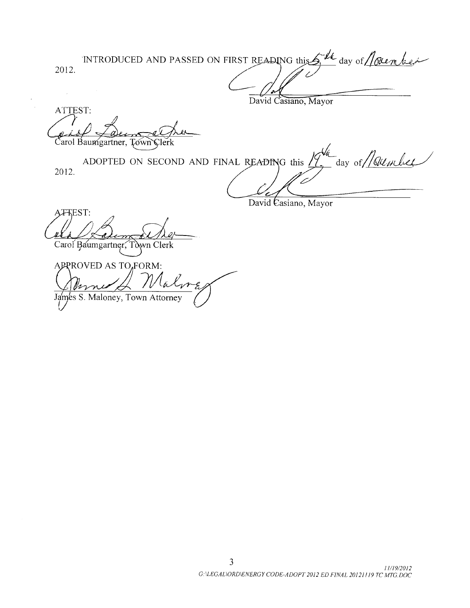INTRODUCED AND PASSED ON FIRST READING this  $\int_{1}^{M}$  day of 2012.  $\hat{\theta}$ 

David Casiano, Mayor

ATTEST: Carol Baumgartner, Town Clerk

ADOPTED ON SECOND AND FINAL READING this Julie day of / sumber 2012.

David Casiano, Mayor

A<sub>F</sub>KEST: Carol Baumgartner, Town Clerk

APPROVED AS TO, FORM:  $\mathcal{U}$ alv James S. Maloney, Town Attorney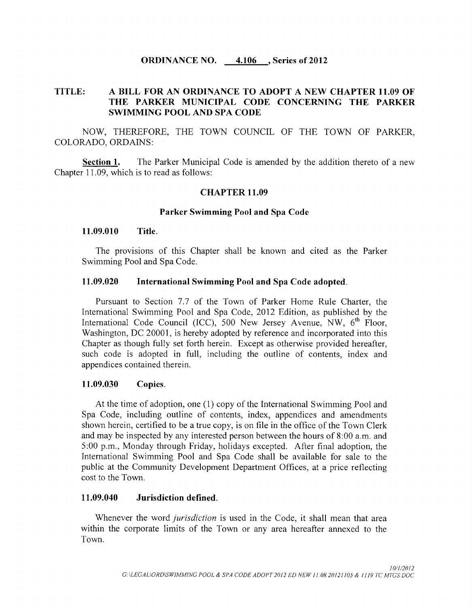## ORDINANCE NO. 4. 106 , Series of 2012

# TITLE: A BILL FOR AN ORDINANCE TO ADOPT A NEW CHAPTER 11. 09 OF THE PARKER MUNICIPAL CODE CONCERNING THE PARKER SWIMMING POOL AND SPA CODE

NOW, THEREFORE, THE TOWN COUNCIL OF THE TOWN OF PARKER, COLORADO, ORDAINS:

Section 1. The Parker Municipal Code is amended by the addition thereto of <sup>a</sup> new Chapter 11. 09, which is to read as follows:

## **CHAPTER 11.09**

#### Parker Swimming Pool and Spa Code

#### 11. 09.010 Title.

The provisions of this Chapter shall be known and cited as the Parker Swimming Pool and Spa Code.

#### 11. 09.020 International Swimming Pool and Spa Code adopted.

Pursuant to Section 7.7 of the Town of Parker Home Rule Charter, the International Swimming Pool and Spa Code, 2012 Edition, as published by the International Code Council (ICC), 500 New Jersey Avenue, NW,  $6<sup>th</sup>$  Floor, Washington, DC 20001, is hereby adopted by reference and incorporated into this Chapter as though fully set forth herein. Except as otherwise provided hereafter, such code is adopted in full, including the outline of contents, index and appendices contained therein.

#### 11.09.030 Copies.

At the time of adoption, one (1) copy of the International Swimming Pool and Spa Code, including outline of contents, index, appendices and amendments shown herein, certified to be a true copy, is on file in the office of the Town Clerk and may be inspected by any interested person between the hours of 8:00 a.m. and 5: <sup>00</sup> p.m., Monday through Friday, holidays excepted. After final adoption, the International Swimming Pool and Spa Code shall be available for sale to the public at the Community Development Department Offices, at a price reflecting cost to the Town.

#### 11. 09.040 Jurisdiction defined.

Whenever the word *jurisdiction* is used in the Code, it shall mean that area within the corporate limits of the Town or any area hereafter annexed to the Town.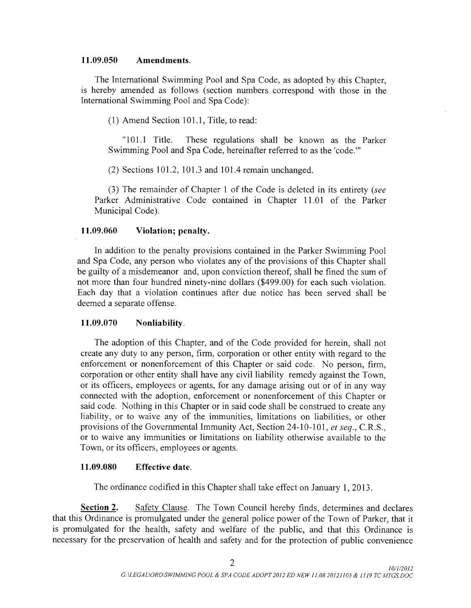## 11. 09. 050 Amendments.

The International Swimming Pool and Spa Code, as adopted by this Chapter, is hereby amended as follows ( section numbers correspond with those in the International Swimming Pool and Spa Code):

 $(1)$  Amend Section 101.1, Title, to read:

"101.1 Title. These regulations shall be known as the Parker Swimming Pool and Spa Code, hereinafter referred to as the 'code."

 $(2)$  Sections 101.2, 101.3 and 101.4 remain unchanged.

3) The remainder of Chapter <sup>1</sup> of the Code is deleted in its entirety ( see Parker Administrative Code contained in Chapter 11.01 of the Parker Municipal Code).

## 11.09.060 Violation; penalty.

In addition to the penalty provisions contained in the Parker Swimming Pool and Spa Code, any person who violates any of the provisions of this Chapter shall be guilty of <sup>a</sup> misdemeanor and, upon conviction thereof, shall be fined the sum of not more than four hundred ninety-nine dollars (\$499.00) for each such violation. Each day that a violation continues after due notice has been served shall be deemed a separate offense.

## 11.09.070 Nonliability.

The adoption of this Chapter, and of the Code provided for herein, shall not create any duty to any person, firm, corporation or other entity with regard to the enforcement or nonenforcement of this Chapter or said code. No person, firm, corporation or other entity shall have any civil liability remedy against the Town, or its officers, employees or agents, for any damage arising out or of in any way connected with the adoption, enforcement or nonenforcement of this Chapter or said code. Nothing in this Chapter or in said code shall be construed to create any liability, or to waive any of the immunities, limitations on liabilities, or other provisions of the Governmental Immunity Act, Section 24-10-101, et seq., C.R.S., or to waive any immunities or limitations on liability otherwise available to the Town, or its officers, employees or agents.

## 11.09.080 Effective date.

The ordinance codified in this Chapter shall take effect on January 1, 2013.

Section 2. Safety Clause. The Town Council hereby finds, determines and declares that this Ordinance is promulgated under the general police power of the Town of Parker, that it is promulgated for the health, safety and welfare of the public, and that this Ordinance is necessary for the preservation of health and safety and for the protection of public convenience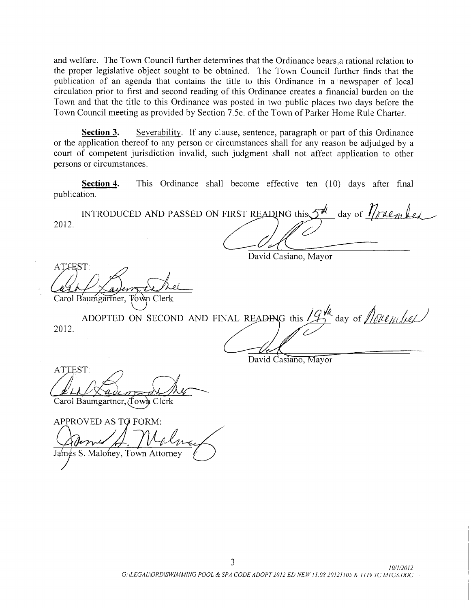and welfare. The Town Council further determines that the Ordinance bears ,a rational relation to the proper legislative object sought to be obtained. The Town Council further finds that the publication of an agenda that contains the title to this Ordinance in a newspaper of local circulation prior to first and second reading of this Ordinance creates <sup>a</sup> financial burden on the Town and that the title to this Ordinance was posted in two public places two days before the Town Council meeting as provided by Section 7. 5e. of the Town of Parker Home Rule Charter.

Section 3. Severability. If any clause, sentence, paragraph or part of this Ordinance or the application thereof to any person or circumstances shall for any reason be adjudged by a court of competent jurisdiction invalid, such judgment shall not affect application to other persons or circumstances.

Section 4. This Ordinance shall become effective ten (10) days after final publication.

INTRODUCED AND PASSED ON FIRST READING this  $5^{\frac{d}{d}}$  day of  $\sqrt[n]{r}$   $\ell_{2h}$   $\ell_{d}$ 2012.

David Casiano, Mayor

ATTEST:

Carol Baumgartner, Town Clerk

2012. ADOPTED ON SECOND AND FINAL READING this  $\mathcal{L}_2^{\mathcal{H}}$  day of  $\mathcal{L}_n$  (Let

David Casiano, Mayor

ATTEST:

Carol Baumgartner, (Town Clerk

APPROVED AS TO FORM: James S. Maloney, Town Attorney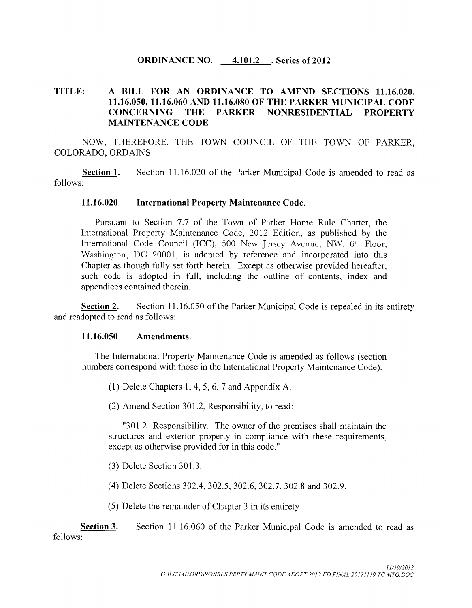## ORDINANCE NO. 4.101.2, Series of 2012

# TITLE: A BILL FOR AN ORDINANCE TO AMEND SECTIONS 11.16.020, 11. 16. 050, 11. 16.060 AND 11. 16.080 OF THE PARKER MUNICIPAL CODE CONCERNING THE PARKER NONRESIDENTIAL PROPERTY MAINTENANCE CODE

NOW, THEREFORE, THE TOWN COUNCIL OF THE TOWN OF PARKER, COLORADO, ORDAINS:

Section 1. Section 11.16.020 of the Parker Municipal Code is amended to read as follows:

## 11. 16. 020 International Property Maintenance Code.

Pursuant to Section 7.7 of the Town of Parker Home Rule Charter, the International Property Maintenance Code, 2012 Edition, as published by the International Code Council (ICC), 500 New Jersey Avenue, NW, 6<sup>th</sup> Floor, Washington, DC 20001, is adopted by reference and incorporated into this Chapter as though fully set forth herein. Except as otherwise provided hereafter, such code is adopted in full, including the outline of contents, index and appendices contained therein.

Section 2. Section 11.16.050 of the Parker Municipal Code is repealed in its entirety and readopted to read as follows:

#### 11. 16.050 Amendments.

The International Property Maintenance Code is amended as follows ( section numbers correspond with those in the International Property Maintenance Code).

(1) Delete Chapters 1, 4, 5, 6, 7 and Appendix A.

(2) Amend Section 301.2, Responsibility, to read:

"301.2 Responsibility. The owner of the premises shall maintain the structures and exterior property in compliance with these requirements, except as otherwise provided for in this code."

(3) Delete Section 301.3.

(4) Delete Sections 302.4, 302.5, 302.6, 302.7, 302.8 and 302.9.

5) Delete the remainder of Chapter <sup>3</sup> in its entirety

Section 3. Section 11.16.060 of the Parker Municipal Code is amended to read as follows: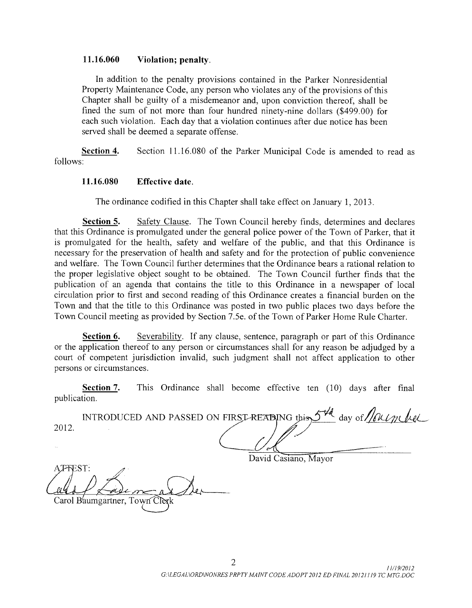## 11.16.060 Violation; penalty.

In addition to the penalty provisions contained in the Parker Nonresidential Property Maintenance Code, any person who violates any of the provisions of this Chapter shall be guilty of <sup>a</sup> misdemeanor and, upon conviction thereof, shall be fined the sum of not more than four hundred ninety-nine dollars (\$499.00) for each such violation. Each day that a violation continues after due notice has been served shall be deemed a separate offense.

Section 4. Section 11.16.080 of the Parker Municipal Code is amended to read as follows:

## 11. 16. 080 Effective date.

The ordinance codified in this Chapter shall take effect on January 1, 2013.

Section 5. Safety Clause. The Town Council hereby finds, determines and declares that this Ordinance is promulgated under the general police power of the Town of Parker, that it is promulgated for the health, safety and welfare of the public, and that this Ordinance is necessary for the preservation of health and safety and for the protection of public convenience and welfare. The Town Council further determines that the Ordinance bears a rational relation to the proper legislative object sought to be obtained. The Town Council further finds that the publication of an agenda that contains the title to this Ordinance in a newspaper of local circulation prior to first and second reading of this Ordinance creates <sup>a</sup> financial burden on the Town and that the title to this Ordinance was posted in two public places two days before the Town Council meeting as provided by Section 7. 5e. of the Town of Parker Home Rule Charter.

Section 6. Severability. If any clause, sentence, paragraph or part of this Ordinance or the application thereof to any person or circumstances shall for any reason be adjudged by a court of competent jurisdiction invalid, such judgment shall not affect application to other persons or circumstances.

| persons or circumstances. |                                                                  |  |                                                                 |  |  |  |  |  |  |  |  |
|---------------------------|------------------------------------------------------------------|--|-----------------------------------------------------------------|--|--|--|--|--|--|--|--|
| publication.              | Section 7.                                                       |  | This Ordinance shall become effective ten (10) days after final |  |  |  |  |  |  |  |  |
|                           | INTRODUCED AND PASSED ON FIRST-READING this 5th day of following |  |                                                                 |  |  |  |  |  |  |  |  |
| 2012.                     |                                                                  |  |                                                                 |  |  |  |  |  |  |  |  |
|                           |                                                                  |  |                                                                 |  |  |  |  |  |  |  |  |

David Casiano, Mayor

AT-FEST: Carol B'aumgartner, Town Cles